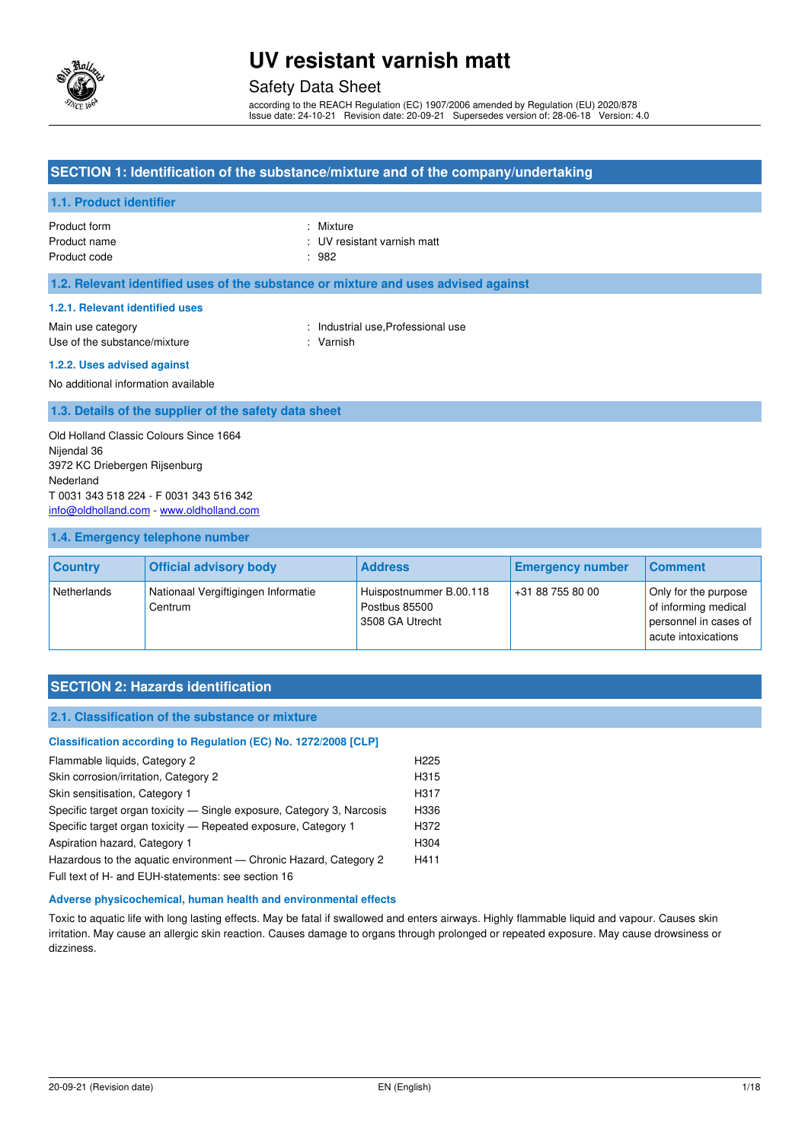

### Safety Data Sheet

according to the REACH Regulation (EC) 1907/2006 amended by Regulation (EU) 2020/878 Issue date: 24-10-21 Revision date: 20-09-21 Supersedes version of: 28-06-18 Version: 4.0

### **SECTION 1: Identification of the substance/mixture and of the company/undertaking**

#### **1.1. Product identifier**

Product form : Nixture : Nixture Product name **in the set of the set of the set of the set of the set of the set of the set of the set of the set of the set of the set of the set of the set of the set of the set of the set of the set of the set of the set** Product code : 982

#### **1.2. Relevant identified uses of the substance or mixture and uses advised against**

#### **1.2.1. Relevant identified uses**

Main use category **Example 20** and the United States of the Industrial use, Professional use Use of the substance/mixture : Varnish

#### **1.2.2. Uses advised against**

No additional information available

#### **1.3. Details of the supplier of the safety data sheet**

Old Holland Classic Colours Since 1664 Nijendal 36 3972 KC Driebergen Rijsenburg Nederland T 0031 343 518 224 - F 0031 343 516 342 [info@oldholland.com](mailto:info@oldholland.com) - [www.oldholland.com](http://www.oldholland.com/)

#### **1.4. Emergency telephone number**

| <b>Country</b> | <b>Official advisory body</b>                  | <b>Address</b>                                              | <b>Emergency number</b> | <b>Comment</b>                                                                               |
|----------------|------------------------------------------------|-------------------------------------------------------------|-------------------------|----------------------------------------------------------------------------------------------|
| Netherlands    | Nationaal Vergiftigingen Informatie<br>Centrum | Huispostnummer B.00.118<br>Postbus 85500<br>3508 GA Utrecht | +31 88 755 80 00        | Only for the purpose<br>of informing medical<br>personnel in cases of<br>acute intoxications |

### **SECTION 2: Hazards identification**

#### **2.1. Classification of the substance or mixture**

#### **Classification according to Regulation (EC) No. 1272/2008 [CLP]**

| Flammable liquids, Category 2                                          | H <sub>225</sub> |
|------------------------------------------------------------------------|------------------|
| Skin corrosion/irritation, Category 2                                  | H315             |
| Skin sensitisation, Category 1                                         | H317             |
| Specific target organ toxicity — Single exposure, Category 3, Narcosis | H336             |
| Specific target organ toxicity - Repeated exposure, Category 1         | H372             |
| Aspiration hazard, Category 1                                          | H304             |
| Hazardous to the aguatic environment — Chronic Hazard, Category 2      | H411             |
| Eull toyt of H, and EUH etatomonte: soo soction 16                     |                  |

Full text of H- and EUH-statements: see section 16

#### **Adverse physicochemical, human health and environmental effects**

Toxic to aquatic life with long lasting effects. May be fatal if swallowed and enters airways. Highly flammable liquid and vapour. Causes skin irritation. May cause an allergic skin reaction. Causes damage to organs through prolonged or repeated exposure. May cause drowsiness or dizziness.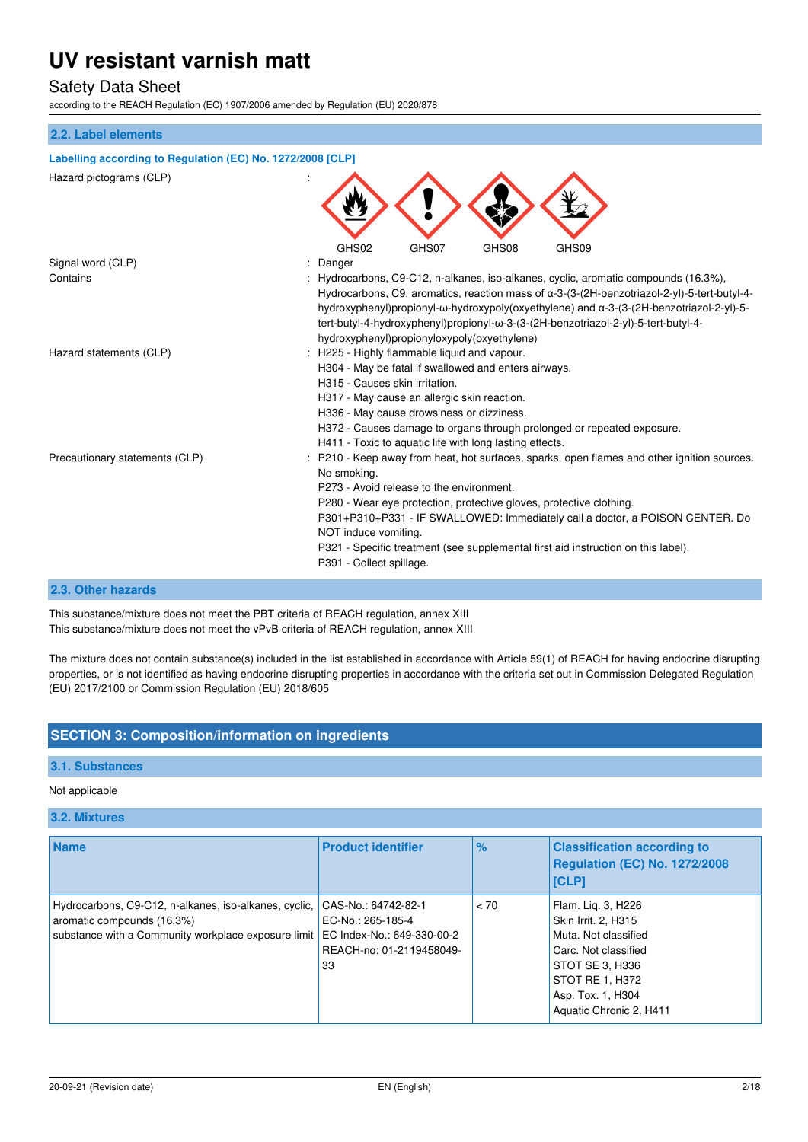### Safety Data Sheet

according to the REACH Regulation (EC) 1907/2006 amended by Regulation (EU) 2020/878

#### **2.2. Label elements**

## **Labelling according to Regulation (EC) No. 1272/2008 [CLP]**

Hazard pictograms (CLP) : GHS02 GHS07 GHS08 GHS09 Signal word (CLP)  $\qquad \qquad$ : Danger Contains : Hydrocarbons, C9-C12, n-alkanes, iso-alkanes, cyclic, aromatic compounds (16.3%), Hydrocarbons, C9, aromatics, reaction mass of α-3-(3-(2H-benzotriazol-2-yl)-5-tert-butyl-4 hydroxyphenyl)propionyl-ω-hydroxypoly(oxyethylene) and α-3-(3-(2H-benzotriazol-2-yl)-5 tert-butyl-4-hydroxyphenyl)propionyl-ω-3-(3-(2H-benzotriazol-2-yl)-5-tert-butyl-4 hydroxyphenyl)propionyloxypoly(oxyethylene) Hazard statements (CLP) : H225 - Highly flammable liquid and vapour. H304 - May be fatal if swallowed and enters airways. H315 - Causes skin irritation. H317 - May cause an allergic skin reaction. H336 - May cause drowsiness or dizziness. H372 - Causes damage to organs through prolonged or repeated exposure. H411 - Toxic to aquatic life with long lasting effects. Precautionary statements (CLP) : P210 - Keep away from heat, hot surfaces, sparks, open flames and other ignition sources. No smoking. P273 - Avoid release to the environment. P280 - Wear eye protection, protective gloves, protective clothing. P301+P310+P331 - IF SWALLOWED: Immediately call a doctor, a POISON CENTER. Do NOT induce vomiting. P321 - Specific treatment (see supplemental first aid instruction on this label). P391 - Collect spillage.

#### **2.3. Other hazards**

This substance/mixture does not meet the PBT criteria of REACH regulation, annex XIII This substance/mixture does not meet the vPvB criteria of REACH regulation, annex XIII

The mixture does not contain substance(s) included in the list established in accordance with Article 59(1) of REACH for having endocrine disrupting properties, or is not identified as having endocrine disrupting properties in accordance with the criteria set out in Commission Delegated Regulation (EU) 2017/2100 or Commission Regulation (EU) 2018/605

### **SECTION 3: Composition/information on ingredients**

#### **3.1. Substances**

#### Not applicable

#### **3.2. Mixtures**

| <b>Name</b>                                                                                                                                | <b>Product identifier</b>                                                                                | $\frac{1}{2}$ | <b>Classification according to</b><br><b>Regulation (EC) No. 1272/2008</b><br><b>[CLP]</b>                                                                                      |
|--------------------------------------------------------------------------------------------------------------------------------------------|----------------------------------------------------------------------------------------------------------|---------------|---------------------------------------------------------------------------------------------------------------------------------------------------------------------------------|
| Hydrocarbons, C9-C12, n-alkanes, iso-alkanes, cyclic,<br>aromatic compounds (16.3%)<br>substance with a Community workplace exposure limit | CAS-No.: 64742-82-1<br>EC-No.: 265-185-4<br>EC Index-No.: 649-330-00-2<br>REACH-no: 01-2119458049-<br>33 | < 70          | Flam. Lig. 3, H226<br>Skin Irrit. 2, H315<br>Muta. Not classified<br>Carc. Not classified<br>STOT SE 3, H336<br>STOT RE 1, H372<br>Asp. Tox. 1, H304<br>Aquatic Chronic 2, H411 |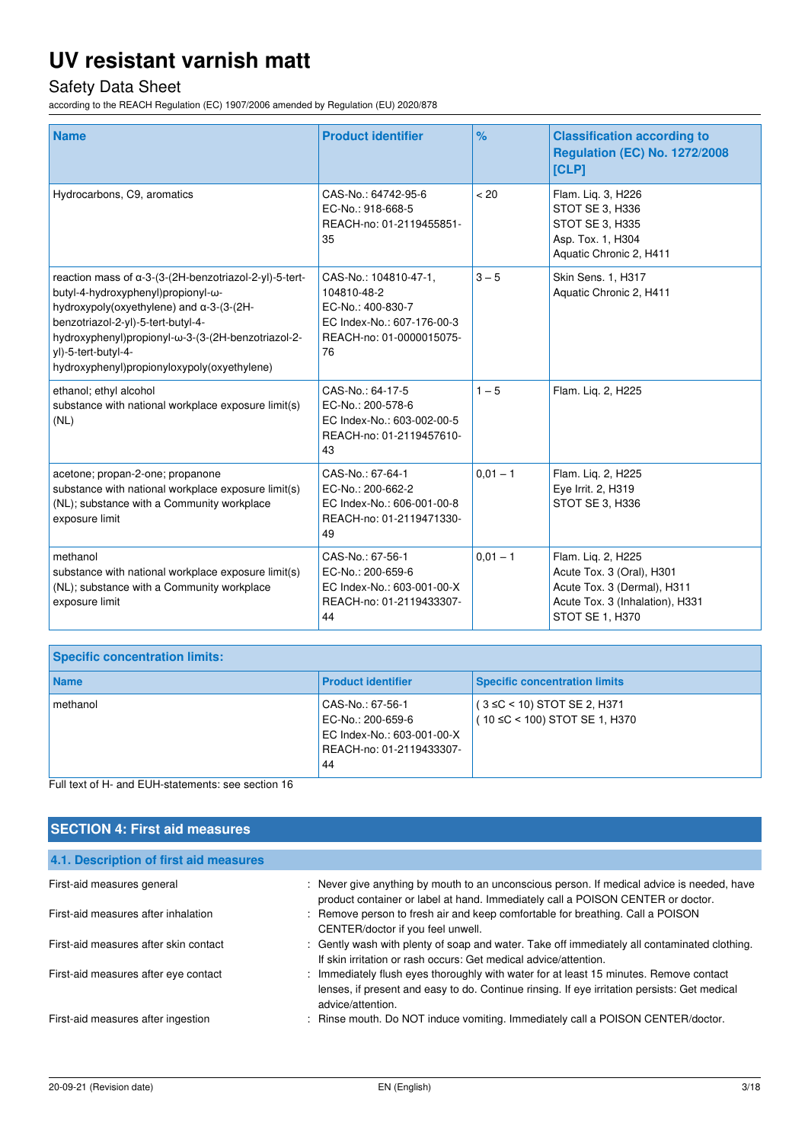# Safety Data Sheet

according to the REACH Regulation (EC) 1907/2006 amended by Regulation (EU) 2020/878

| <b>Name</b>                                                                                                                                                                                                                                                                                                        | <b>Product identifier</b>                                                                                                 | $\frac{9}{6}$ | <b>Classification according to</b><br><b>Regulation (EC) No. 1272/2008</b><br>[CLP]                                                         |
|--------------------------------------------------------------------------------------------------------------------------------------------------------------------------------------------------------------------------------------------------------------------------------------------------------------------|---------------------------------------------------------------------------------------------------------------------------|---------------|---------------------------------------------------------------------------------------------------------------------------------------------|
| Hydrocarbons, C9, aromatics                                                                                                                                                                                                                                                                                        | CAS-No.: 64742-95-6<br>EC-No.: 918-668-5<br>REACH-no: 01-2119455851-<br>35                                                | < 20          | Flam. Lig. 3, H226<br>STOT SE 3, H336<br>STOT SE 3, H335<br>Asp. Tox. 1, H304<br>Aquatic Chronic 2, H411                                    |
| reaction mass of a-3-(3-(2H-benzotriazol-2-yl)-5-tert-<br>butyl-4-hydroxyphenyl)propionyl-ω-<br>hydroxypoly(oxyethylene) and $\alpha$ -3-(3-(2H-<br>benzotriazol-2-yl)-5-tert-butyl-4-<br>hydroxyphenyl)propionyl-ω-3-(3-(2H-benzotriazol-2-<br>yl)-5-tert-butyl-4-<br>hydroxyphenyl)propionyloxypoly(oxyethylene) | CAS-No.: 104810-47-1,<br>104810-48-2<br>EC-No.: 400-830-7<br>EC Index-No.: 607-176-00-3<br>REACH-no: 01-0000015075-<br>76 | $3 - 5$       | Skin Sens. 1, H317<br>Aquatic Chronic 2, H411                                                                                               |
| ethanol; ethyl alcohol<br>substance with national workplace exposure limit(s)<br>(NL)                                                                                                                                                                                                                              | CAS-No.: 64-17-5<br>EC-No.: 200-578-6<br>EC Index-No.: 603-002-00-5<br>REACH-no: 01-2119457610-<br>43                     | $1 - 5$       | Flam. Lig. 2, H225                                                                                                                          |
| acetone; propan-2-one; propanone<br>substance with national workplace exposure limit(s)<br>(NL); substance with a Community workplace<br>exposure limit                                                                                                                                                            | CAS-No.: 67-64-1<br>EC-No.: 200-662-2<br>EC Index-No.: 606-001-00-8<br>REACH-no: 01-2119471330-<br>49                     | $0,01 - 1$    | Flam. Liq. 2, H225<br>Eye Irrit. 2, H319<br>STOT SE 3, H336                                                                                 |
| methanol<br>substance with national workplace exposure limit(s)<br>(NL); substance with a Community workplace<br>exposure limit                                                                                                                                                                                    | CAS-No.: 67-56-1<br>EC-No.: 200-659-6<br>EC Index-No.: 603-001-00-X<br>REACH-no: 01-2119433307-<br>44                     | $0,01 - 1$    | Flam. Liq. 2, H225<br>Acute Tox. 3 (Oral), H301<br>Acute Tox. 3 (Dermal), H311<br>Acute Tox. 3 (Inhalation), H331<br><b>STOT SE 1, H370</b> |

| <b>Specific concentration limits:</b> |                                                                                                       |                                                                          |
|---------------------------------------|-------------------------------------------------------------------------------------------------------|--------------------------------------------------------------------------|
| <b>Name</b>                           | <b>Product identifier</b>                                                                             | <b>Specific concentration limits</b>                                     |
| methanol                              | CAS-No.: 67-56-1<br>EC-No.: 200-659-6<br>EC Index-No.: 603-001-00-X<br>REACH-no: 01-2119433307-<br>44 | $(3 \leq C < 10)$ STOT SE 2, H371<br>$(10 \leq C < 100)$ STOT SE 1, H370 |

Full text of H- and EUH-statements: see section 16

| <b>SECTION 4: First aid measures</b>   |                                                                                                                                                                                                             |
|----------------------------------------|-------------------------------------------------------------------------------------------------------------------------------------------------------------------------------------------------------------|
| 4.1. Description of first aid measures |                                                                                                                                                                                                             |
| First-aid measures general             | : Never give anything by mouth to an unconscious person. If medical advice is needed, have<br>product container or label at hand. Immediately call a POISON CENTER or doctor.                               |
| First-aid measures after inhalation    | : Remove person to fresh air and keep comfortable for breathing. Call a POISON<br>CENTER/doctor if you feel unwell.                                                                                         |
| First-aid measures after skin contact  | : Gently wash with plenty of soap and water. Take off immediately all contaminated clothing.<br>If skin irritation or rash occurs: Get medical advice/attention.                                            |
| First-aid measures after eye contact   | : Immediately flush eyes thoroughly with water for at least 15 minutes. Remove contact<br>lenses, if present and easy to do. Continue rinsing. If eye irritation persists: Get medical<br>advice/attention. |
| First-aid measures after ingestion     | : Rinse mouth. Do NOT induce vomiting. Immediately call a POISON CENTER/doctor.                                                                                                                             |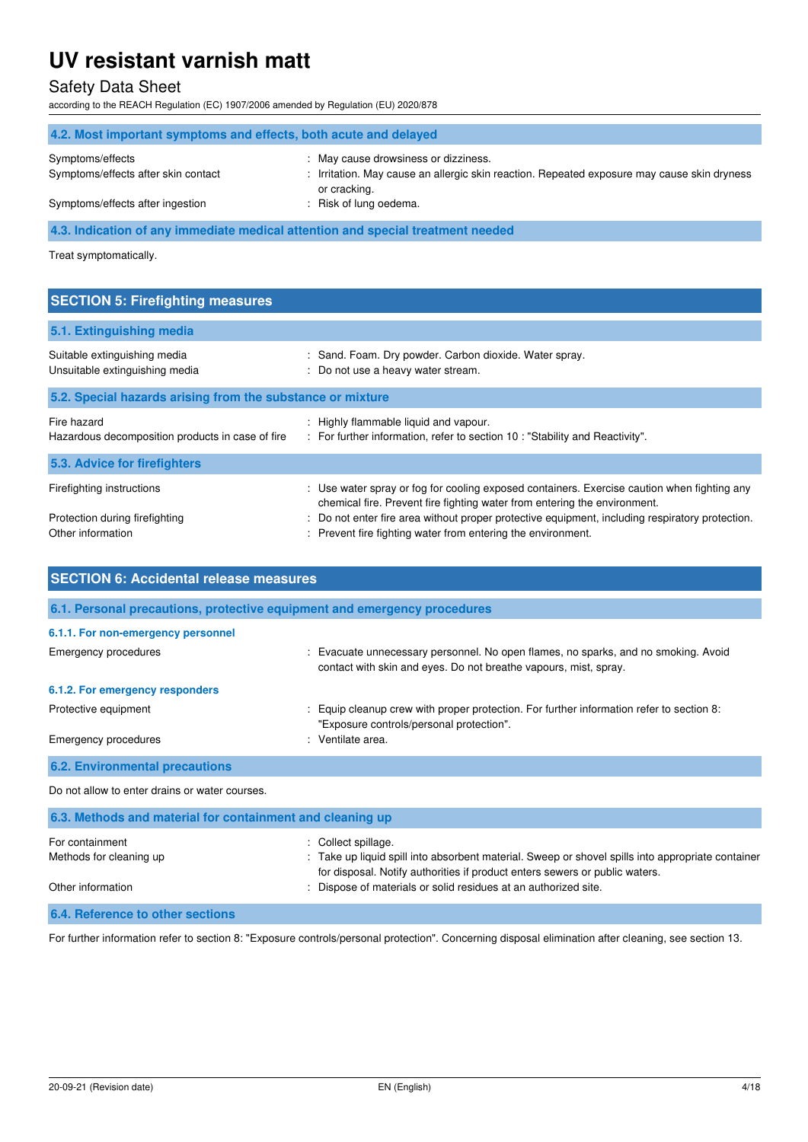### Safety Data Sheet

according to the REACH Regulation (EC) 1907/2006 amended by Regulation (EU) 2020/878

| 4.2. Most important symptoms and effects, both acute and delayed                |                                                                                                                                     |  |
|---------------------------------------------------------------------------------|-------------------------------------------------------------------------------------------------------------------------------------|--|
| Symptoms/effects<br>Symptoms/effects after skin contact                         | : May cause drowsiness or dizziness.<br>: Irritation. May cause an allergic skin reaction. Repeated exposure may cause skin dryness |  |
|                                                                                 | or cracking.                                                                                                                        |  |
| Symptoms/effects after ingestion                                                | : Risk of lung oedema.                                                                                                              |  |
| 4.3. Indication of any immediate medical attention and special treatment needed |                                                                                                                                     |  |

Treat symptomatically.

| <b>SECTION 5: Firefighting measures</b>                         |                                                                                                                                                                          |
|-----------------------------------------------------------------|--------------------------------------------------------------------------------------------------------------------------------------------------------------------------|
|                                                                 |                                                                                                                                                                          |
| 5.1. Extinguishing media                                        |                                                                                                                                                                          |
| Suitable extinguishing media<br>Unsuitable extinguishing media  | : Sand. Foam. Dry powder. Carbon dioxide. Water spray.<br>: Do not use a heavy water stream.                                                                             |
| 5.2. Special hazards arising from the substance or mixture      |                                                                                                                                                                          |
| Fire hazard<br>Hazardous decomposition products in case of fire | : Highly flammable liquid and vapour.<br>: For further information, refer to section 10 : "Stability and Reactivity".                                                    |
| 5.3. Advice for firefighters                                    |                                                                                                                                                                          |
| Firefighting instructions                                       | : Use water spray or fog for cooling exposed containers. Exercise caution when fighting any<br>chemical fire. Prevent fire fighting water from entering the environment. |

Other information entity is revent fire fighting water from entering the environment.

Other information **intervals and the Contract of Materials or solid residues at an authorized site.** 

| <b>SECTION 6: Accidental release measures</b><br>6.1. Personal precautions, protective equipment and emergency procedures |                                                                                                                                                        |  |
|---------------------------------------------------------------------------------------------------------------------------|--------------------------------------------------------------------------------------------------------------------------------------------------------|--|
|                                                                                                                           |                                                                                                                                                        |  |
| Emergency procedures                                                                                                      | : Evacuate unnecessary personnel. No open flames, no sparks, and no smoking. Avoid<br>contact with skin and eyes. Do not breathe vapours, mist, spray. |  |
| 6.1.2. For emergency responders                                                                                           |                                                                                                                                                        |  |
| Protective equipment                                                                                                      | Equip cleanup crew with proper protection. For further information refer to section 8:<br>"Exposure controls/personal protection".                     |  |
| Emergency procedures                                                                                                      | : Ventilate area.                                                                                                                                      |  |
| <b>6.2. Environmental precautions</b>                                                                                     |                                                                                                                                                        |  |
| Do not allow to enter drains or water courses.                                                                            |                                                                                                                                                        |  |
| 6.3. Methods and material for containment and cleaning up                                                                 |                                                                                                                                                        |  |
| For containment<br>Methods for cleaning up                                                                                | Collect spillage.<br>: Take up liquid spill into absorbent material. Sweep or shovel spills into appropriate container                                 |  |

Protection during firefighting  $\blacksquare$ : Do not enter fire area without proper protective equipment, including respiratory protection.

**6.4. Reference to other sections** 

For further information refer to section 8: "Exposure controls/personal protection". Concerning disposal elimination after cleaning, see section 13.

for disposal. Notify authorities if product enters sewers or public waters.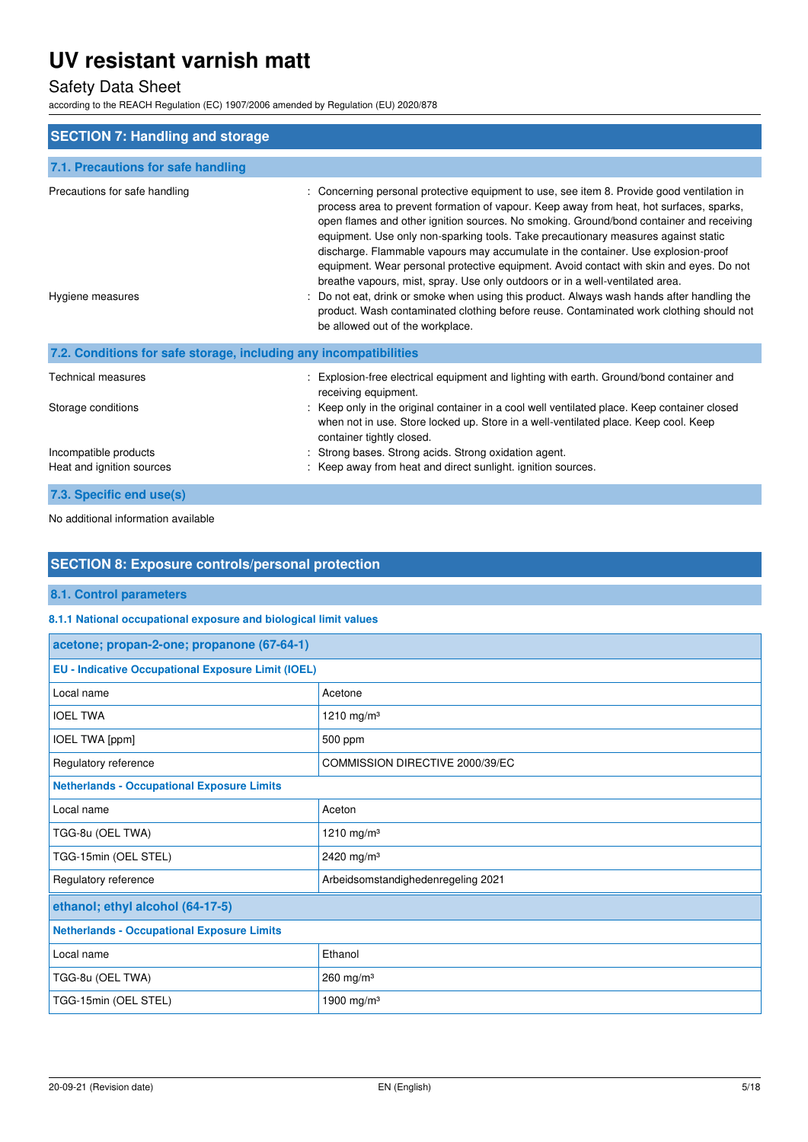# Safety Data Sheet

according to the REACH Regulation (EC) 1907/2006 amended by Regulation (EU) 2020/878

| <b>SECTION 7: Handling and storage</b>                            |                                                                                                                                                                                                                                                                                                                                                                                                                                                                                                                                                                                                                                                                                                                                                                                                                                                                  |
|-------------------------------------------------------------------|------------------------------------------------------------------------------------------------------------------------------------------------------------------------------------------------------------------------------------------------------------------------------------------------------------------------------------------------------------------------------------------------------------------------------------------------------------------------------------------------------------------------------------------------------------------------------------------------------------------------------------------------------------------------------------------------------------------------------------------------------------------------------------------------------------------------------------------------------------------|
| 7.1. Precautions for safe handling                                |                                                                                                                                                                                                                                                                                                                                                                                                                                                                                                                                                                                                                                                                                                                                                                                                                                                                  |
| Precautions for safe handling<br>Hygiene measures                 | Concerning personal protective equipment to use, see item 8. Provide good ventilation in<br>process area to prevent formation of vapour. Keep away from heat, hot surfaces, sparks,<br>open flames and other ignition sources. No smoking. Ground/bond container and receiving<br>equipment. Use only non-sparking tools. Take precautionary measures against static<br>discharge. Flammable vapours may accumulate in the container. Use explosion-proof<br>equipment. Wear personal protective equipment. Avoid contact with skin and eyes. Do not<br>breathe vapours, mist, spray. Use only outdoors or in a well-ventilated area.<br>Do not eat, drink or smoke when using this product. Always wash hands after handling the<br>product. Wash contaminated clothing before reuse. Contaminated work clothing should not<br>be allowed out of the workplace. |
| 7.2. Conditions for safe storage, including any incompatibilities |                                                                                                                                                                                                                                                                                                                                                                                                                                                                                                                                                                                                                                                                                                                                                                                                                                                                  |
| <b>Technical measures</b><br>Storage conditions                   | Explosion-free electrical equipment and lighting with earth. Ground/bond container and<br>receiving equipment.<br>: Keep only in the original container in a cool well ventilated place. Keep container closed<br>when not in use. Store locked up. Store in a well-ventilated place. Keep cool. Keep<br>container tightly closed.                                                                                                                                                                                                                                                                                                                                                                                                                                                                                                                               |
| Incompatible products<br>Heat and ignition sources                | Strong bases. Strong acids. Strong oxidation agent.<br>Keep away from heat and direct sunlight, ignition sources.                                                                                                                                                                                                                                                                                                                                                                                                                                                                                                                                                                                                                                                                                                                                                |
| 7.3. Specific end use(s)                                          |                                                                                                                                                                                                                                                                                                                                                                                                                                                                                                                                                                                                                                                                                                                                                                                                                                                                  |

No additional information available

### **SECTION 8: Exposure controls/personal protection**

**8.1. Control parameters** 

### **8.1.1 National occupational exposure and biological limit values**

| acetone; propan-2-one; propanone (67-64-1)                |                                    |  |
|-----------------------------------------------------------|------------------------------------|--|
| <b>EU - Indicative Occupational Exposure Limit (IOEL)</b> |                                    |  |
| Local name                                                | Acetone                            |  |
| <b>IOEL TWA</b>                                           | 1210 mg/m <sup>3</sup>             |  |
| IOEL TWA [ppm]                                            | 500 ppm                            |  |
| Regulatory reference                                      | COMMISSION DIRECTIVE 2000/39/EC    |  |
| <b>Netherlands - Occupational Exposure Limits</b>         |                                    |  |
| Local name                                                | Aceton                             |  |
| TGG-8u (OEL TWA)                                          | 1210 mg/m <sup>3</sup>             |  |
| TGG-15min (OEL STEL)                                      | 2420 mg/m <sup>3</sup>             |  |
| Regulatory reference                                      | Arbeidsomstandighedenregeling 2021 |  |
| ethanol; ethyl alcohol (64-17-5)                          |                                    |  |
| <b>Netherlands - Occupational Exposure Limits</b>         |                                    |  |
| Local name                                                | Ethanol                            |  |
| TGG-8u (OEL TWA)                                          | 260 mg/m <sup>3</sup>              |  |
| TGG-15min (OEL STEL)<br>1900 mg/m <sup>3</sup>            |                                    |  |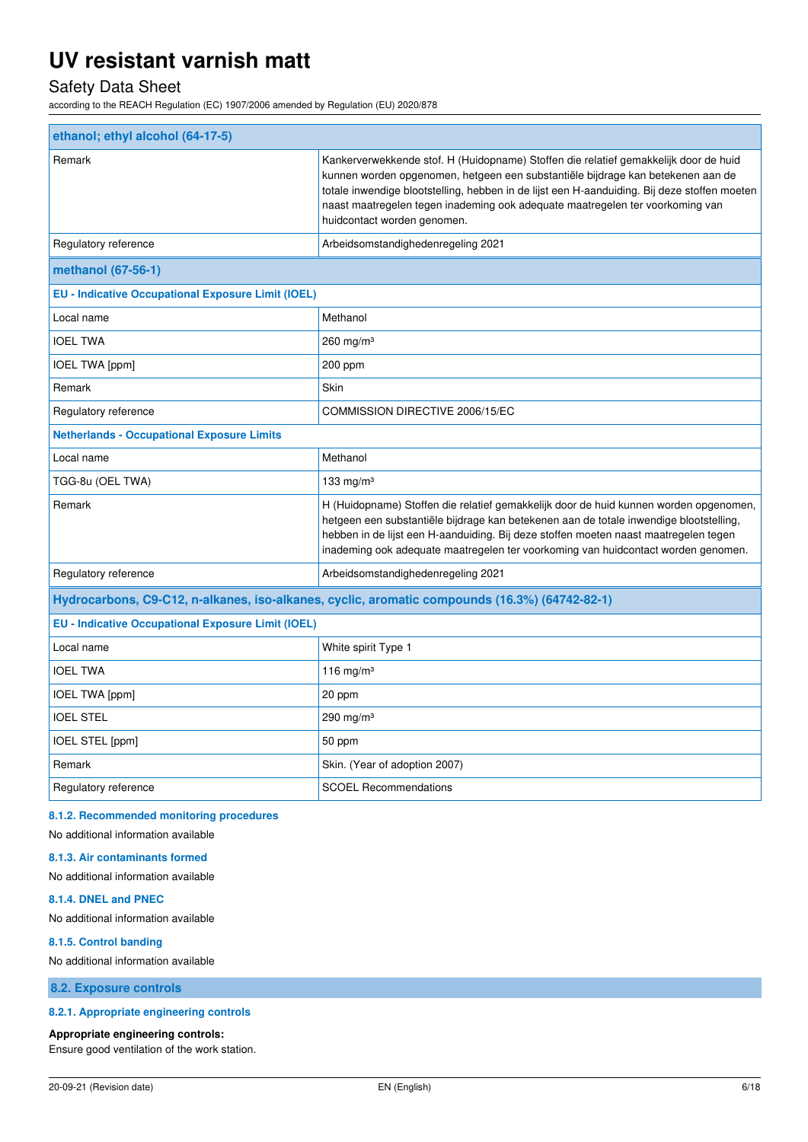# Safety Data Sheet

according to the REACH Regulation (EC) 1907/2006 amended by Regulation (EU) 2020/878

| ethanol; ethyl alcohol (64-17-5)                                                              |                                                                                                                                                                                                                                                                                                                                                                                         |  |
|-----------------------------------------------------------------------------------------------|-----------------------------------------------------------------------------------------------------------------------------------------------------------------------------------------------------------------------------------------------------------------------------------------------------------------------------------------------------------------------------------------|--|
| Remark                                                                                        | Kankerverwekkende stof. H (Huidopname) Stoffen die relatief gemakkelijk door de huid<br>kunnen worden opgenomen, hetgeen een substantiële bijdrage kan betekenen aan de<br>totale inwendige blootstelling, hebben in de lijst een H-aanduiding. Bij deze stoffen moeten<br>naast maatregelen tegen inademing ook adequate maatregelen ter voorkoming van<br>huidcontact worden genomen. |  |
| Regulatory reference                                                                          | Arbeidsomstandighedenregeling 2021                                                                                                                                                                                                                                                                                                                                                      |  |
| methanol (67-56-1)                                                                            |                                                                                                                                                                                                                                                                                                                                                                                         |  |
| <b>EU - Indicative Occupational Exposure Limit (IOEL)</b>                                     |                                                                                                                                                                                                                                                                                                                                                                                         |  |
| Local name                                                                                    | Methanol                                                                                                                                                                                                                                                                                                                                                                                |  |
| <b>IOEL TWA</b>                                                                               | $260$ mg/m <sup>3</sup>                                                                                                                                                                                                                                                                                                                                                                 |  |
| IOEL TWA [ppm]                                                                                | 200 ppm                                                                                                                                                                                                                                                                                                                                                                                 |  |
| Remark                                                                                        | Skin                                                                                                                                                                                                                                                                                                                                                                                    |  |
| Regulatory reference                                                                          | COMMISSION DIRECTIVE 2006/15/EC                                                                                                                                                                                                                                                                                                                                                         |  |
| <b>Netherlands - Occupational Exposure Limits</b>                                             |                                                                                                                                                                                                                                                                                                                                                                                         |  |
| Local name                                                                                    | Methanol                                                                                                                                                                                                                                                                                                                                                                                |  |
| TGG-8u (OEL TWA)                                                                              | 133 mg/m $3$                                                                                                                                                                                                                                                                                                                                                                            |  |
| Remark                                                                                        | H (Huidopname) Stoffen die relatief gemakkelijk door de huid kunnen worden opgenomen,<br>hetgeen een substantiële bijdrage kan betekenen aan de totale inwendige blootstelling,<br>hebben in de lijst een H-aanduiding. Bij deze stoffen moeten naast maatregelen tegen<br>inademing ook adequate maatregelen ter voorkoming van huidcontact worden genomen.                            |  |
| Regulatory reference                                                                          | Arbeidsomstandighedenregeling 2021                                                                                                                                                                                                                                                                                                                                                      |  |
| Hydrocarbons, C9-C12, n-alkanes, iso-alkanes, cyclic, aromatic compounds (16.3%) (64742-82-1) |                                                                                                                                                                                                                                                                                                                                                                                         |  |
| <b>EU - Indicative Occupational Exposure Limit (IOEL)</b>                                     |                                                                                                                                                                                                                                                                                                                                                                                         |  |
| Local name                                                                                    | White spirit Type 1                                                                                                                                                                                                                                                                                                                                                                     |  |
| <b>IOEL TWA</b>                                                                               | 116 mg/m $3$                                                                                                                                                                                                                                                                                                                                                                            |  |
| IOEL TWA [ppm]                                                                                | 20 ppm                                                                                                                                                                                                                                                                                                                                                                                  |  |
| <b>IOEL STEL</b>                                                                              | 290 mg/m $3$                                                                                                                                                                                                                                                                                                                                                                            |  |
| IOEL STEL [ppm]                                                                               | 50 ppm                                                                                                                                                                                                                                                                                                                                                                                  |  |
| Remark                                                                                        | Skin. (Year of adoption 2007)                                                                                                                                                                                                                                                                                                                                                           |  |
| Regulatory reference                                                                          | <b>SCOEL Recommendations</b>                                                                                                                                                                                                                                                                                                                                                            |  |
|                                                                                               |                                                                                                                                                                                                                                                                                                                                                                                         |  |

### **8.1.2. Recommended monitoring procedures**

No additional information available

#### **8.1.3. Air contaminants formed**

No additional information available

#### **8.1.4. DNEL and PNEC**

No additional information available

#### **8.1.5. Control banding**

No additional information available

**8.2. Exposure controls** 

#### **8.2.1. Appropriate engineering controls**

#### **Appropriate engineering controls:**

Ensure good ventilation of the work station.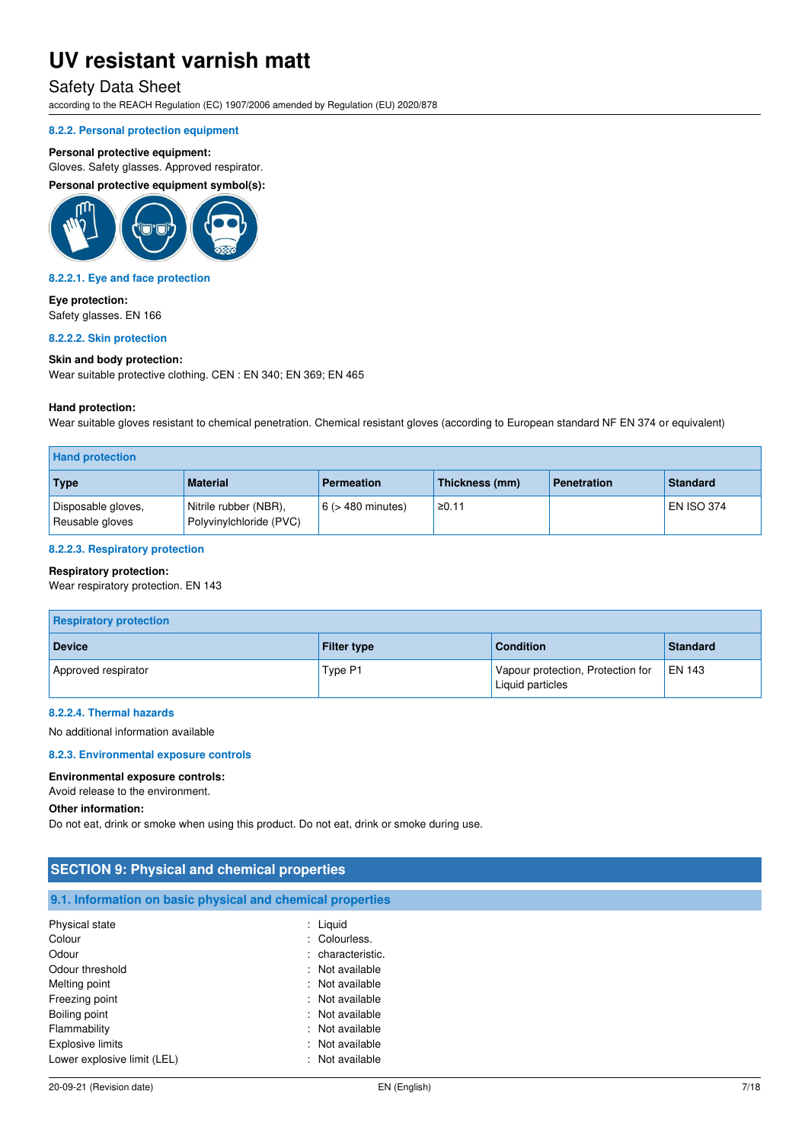### Safety Data Sheet

according to the REACH Regulation (EC) 1907/2006 amended by Regulation (EU) 2020/878

#### **8.2.2. Personal protection equipment**

#### **Personal protective equipment:**

Gloves. Safety glasses. Approved respirator.

**Personal protective equipment symbol(s):** 



#### **8.2.2.1. Eye and face protection**

**Eye protection:**  Safety glasses. EN 166

#### **8.2.2.2. Skin protection**

#### **Skin and body protection:**

Wear suitable protective clothing. CEN : EN 340; EN 369; EN 465

#### **Hand protection:**

Wear suitable gloves resistant to chemical penetration. Chemical resistant gloves (according to European standard NF EN 374 or equivalent)

| <b>Hand protection</b>                |                                                  |                        |                |                    |                   |
|---------------------------------------|--------------------------------------------------|------------------------|----------------|--------------------|-------------------|
| Type                                  | <b>Material</b>                                  | <b>Permeation</b>      | Thickness (mm) | <b>Penetration</b> | <b>Standard</b>   |
| Disposable gloves,<br>Reusable gloves | Nitrile rubber (NBR),<br>Polyvinylchloride (PVC) | $6$ ( $>$ 480 minutes) | ≥0.11          |                    | <b>EN ISO 374</b> |

#### **8.2.2.3. Respiratory protection**

#### **Respiratory protection:**

Wear respiratory protection. EN 143

| <b>Respiratory protection</b> |                    |                                                       |               |
|-------------------------------|--------------------|-------------------------------------------------------|---------------|
| <b>Device</b>                 | <b>Filter type</b> | <b>Condition</b>                                      | Standard      |
| Approved respirator           | Type P1            | Vapour protection, Protection for<br>Liquid particles | <b>EN 143</b> |

#### **8.2.2.4. Thermal hazards**

No additional information available

#### **8.2.3. Environmental exposure controls**

#### **Environmental exposure controls:**

Avoid release to the environment.

#### **Other information:**

Do not eat, drink or smoke when using this product. Do not eat, drink or smoke during use.

| <b>SECTION 9: Physical and chemical properties</b>         |                   |  |
|------------------------------------------------------------|-------------------|--|
| 9.1. Information on basic physical and chemical properties |                   |  |
| Physical state                                             | : Liquid          |  |
| Colour                                                     | : Colourless.     |  |
| Odour                                                      | : characteristic. |  |
| Odour threshold                                            | : Not available   |  |
| Melting point                                              | : Not available   |  |
| Freezing point                                             | : Not available   |  |
| Boiling point                                              | : Not available   |  |
| Flammability                                               | : Not available   |  |
| <b>Explosive limits</b>                                    | : Not available   |  |
| Lower explosive limit (LEL)                                | : Not available   |  |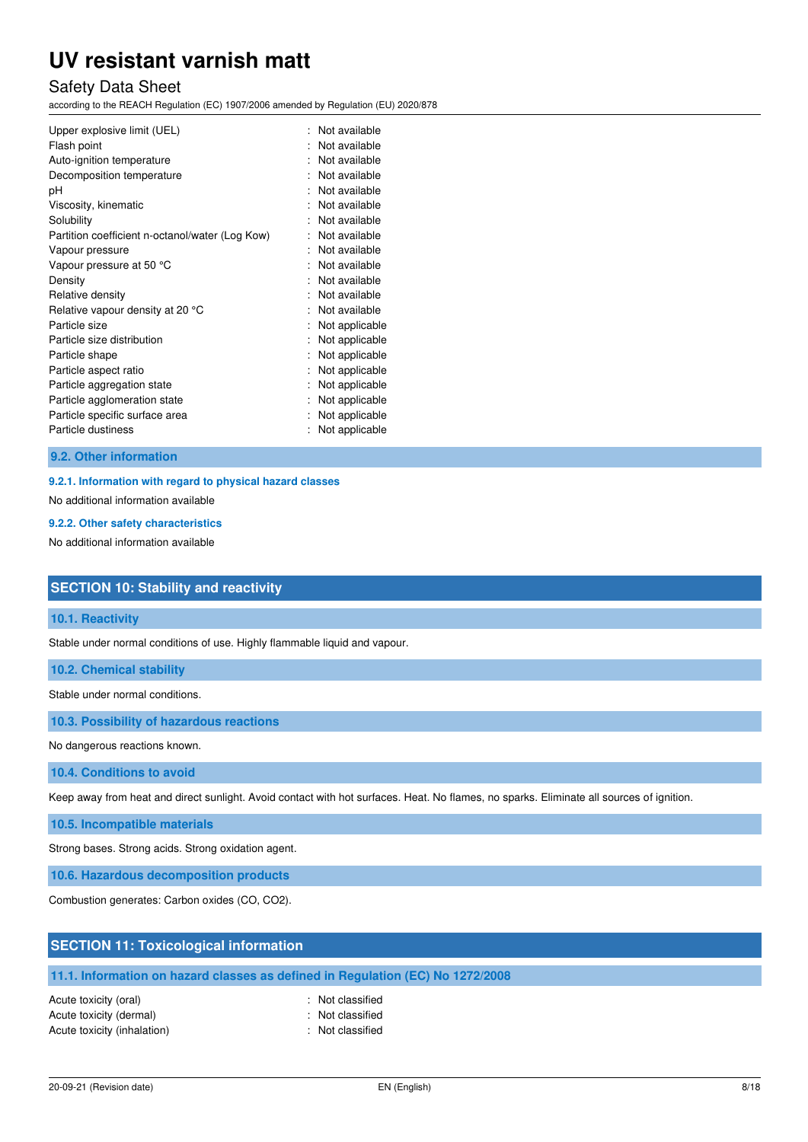## Safety Data Sheet

according to the REACH Regulation (EC) 1907/2006 amended by Regulation (EU) 2020/878

| Upper explosive limit (UEL)                     | Not available<br>Not available |
|-------------------------------------------------|--------------------------------|
| Flash point                                     | Not available                  |
| Auto-ignition temperature                       |                                |
| Decomposition temperature                       | Not available                  |
| рH                                              | Not available                  |
| Viscosity, kinematic                            | Not available                  |
| Solubility                                      | Not available                  |
| Partition coefficient n-octanol/water (Log Kow) | Not available                  |
| Vapour pressure                                 | Not available                  |
| Vapour pressure at 50 °C                        | Not available                  |
| Density                                         | Not available                  |
| Relative density                                | Not available                  |
| Relative vapour density at 20 °C                | Not available                  |
| Particle size                                   | Not applicable                 |
| Particle size distribution                      | Not applicable                 |
| Particle shape                                  | Not applicable                 |
| Particle aspect ratio                           | Not applicable                 |
| Particle aggregation state                      | Not applicable                 |
| Particle agglomeration state                    | Not applicable                 |
| Particle specific surface area                  | Not applicable                 |
| Particle dustiness                              | Not applicable                 |

#### **9.2. Other information**

#### **9.2.1. Information with regard to physical hazard classes**

No additional information available

#### **9.2.2. Other safety characteristics**

No additional information available

### **SECTION 10: Stability and reactivity**

#### **10.1. Reactivity**

Stable under normal conditions of use. Highly flammable liquid and vapour.

**10.2. Chemical stability** 

Stable under normal conditions.

**10.3. Possibility of hazardous reactions** 

No dangerous reactions known.

**10.4. Conditions to avoid** 

Keep away from heat and direct sunlight. Avoid contact with hot surfaces. Heat. No flames, no sparks. Eliminate all sources of ignition.

**10.5. Incompatible materials** 

Strong bases. Strong acids. Strong oxidation agent.

**10.6. Hazardous decomposition products** 

Combustion generates: Carbon oxides (CO, CO2).

### **SECTION 11: Toxicological information**

### **11.1. Information on hazard classes as defined in Regulation (EC) No 1272/2008**

Acute toxicity (oral) **Example 2** Constant Acute toxicity (oral) Acute toxicity (dermal) **Example 2** Contract 2 Contract 2 Contract 2 Contract 2 Contract 2 Contract 2 Contract 2 Contract 2 Contract 2 Contract 2 Contract 2 Contract 2 Contract 2 Contract 2 Contract 2 Contract 2 Contract 2 Acute toxicity (inhalation) **Example 2** Control 2 Control 2 Control 2 Control 2 Control 2 Control 2 Control 2 Control 2 Control 2 Control 2 Control 2 Control 2 Control 2 Control 2 Control 2 Control 2 Control 2 Control 2 Co

- 
-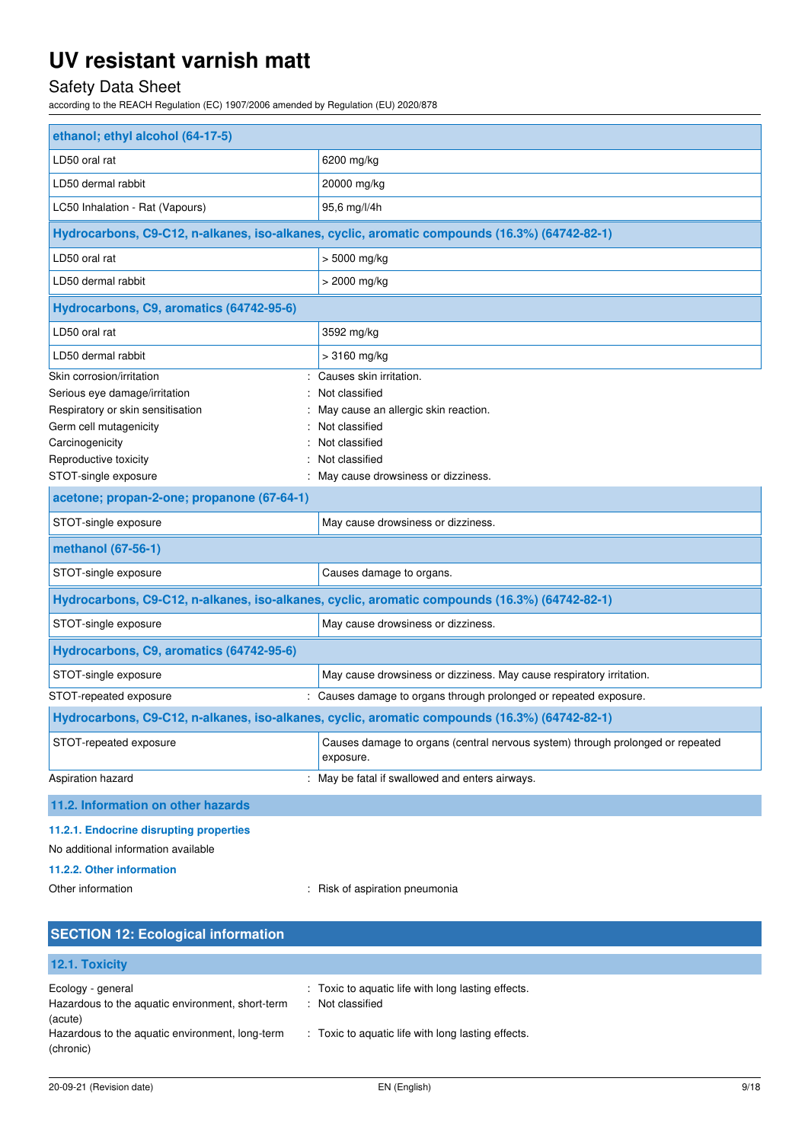# Safety Data Sheet

according to the REACH Regulation (EC) 1907/2006 amended by Regulation (EU) 2020/878

| ethanol; ethyl alcohol (64-17-5)                                                                                                                                                              |                                                                                                                                                                               |  |
|-----------------------------------------------------------------------------------------------------------------------------------------------------------------------------------------------|-------------------------------------------------------------------------------------------------------------------------------------------------------------------------------|--|
| LD50 oral rat                                                                                                                                                                                 | 6200 mg/kg                                                                                                                                                                    |  |
| LD50 dermal rabbit                                                                                                                                                                            | 20000 mg/kg                                                                                                                                                                   |  |
| LC50 Inhalation - Rat (Vapours)                                                                                                                                                               | 95,6 mg/l/4h                                                                                                                                                                  |  |
|                                                                                                                                                                                               | Hydrocarbons, C9-C12, n-alkanes, iso-alkanes, cyclic, aromatic compounds (16.3%) (64742-82-1)                                                                                 |  |
| LD50 oral rat                                                                                                                                                                                 | > 5000 mg/kg                                                                                                                                                                  |  |
| LD50 dermal rabbit                                                                                                                                                                            | > 2000 mg/kg                                                                                                                                                                  |  |
| Hydrocarbons, C9, aromatics (64742-95-6)                                                                                                                                                      |                                                                                                                                                                               |  |
| LD50 oral rat                                                                                                                                                                                 | 3592 mg/kg                                                                                                                                                                    |  |
| LD50 dermal rabbit                                                                                                                                                                            | > 3160 mg/kg                                                                                                                                                                  |  |
| Skin corrosion/irritation<br>Serious eye damage/irritation<br>Respiratory or skin sensitisation<br>Germ cell mutagenicity<br>Carcinogenicity<br>Reproductive toxicity<br>STOT-single exposure | Causes skin irritation.<br>Not classified<br>May cause an allergic skin reaction.<br>Not classified<br>Not classified<br>Not classified<br>May cause drowsiness or dizziness. |  |
| acetone; propan-2-one; propanone (67-64-1)                                                                                                                                                    |                                                                                                                                                                               |  |
| STOT-single exposure                                                                                                                                                                          | May cause drowsiness or dizziness.                                                                                                                                            |  |
| methanol (67-56-1)                                                                                                                                                                            |                                                                                                                                                                               |  |
| STOT-single exposure                                                                                                                                                                          | Causes damage to organs.                                                                                                                                                      |  |
| Hydrocarbons, C9-C12, n-alkanes, iso-alkanes, cyclic, aromatic compounds (16.3%) (64742-82-1)                                                                                                 |                                                                                                                                                                               |  |
| STOT-single exposure                                                                                                                                                                          | May cause drowsiness or dizziness.                                                                                                                                            |  |
| Hydrocarbons, C9, aromatics (64742-95-6)                                                                                                                                                      |                                                                                                                                                                               |  |
| STOT-single exposure                                                                                                                                                                          | May cause drowsiness or dizziness. May cause respiratory irritation.                                                                                                          |  |
| STOT-repeated exposure                                                                                                                                                                        | : Causes damage to organs through prolonged or repeated exposure.                                                                                                             |  |
| Hydrocarbons, C9-C12, n-alkanes, iso-alkanes, cyclic, aromatic compounds (16.3%) (64742-82-1)                                                                                                 |                                                                                                                                                                               |  |
| STOT-repeated exposure                                                                                                                                                                        | Causes damage to organs (central nervous system) through prolonged or repeated<br>exposure.                                                                                   |  |
| Aspiration hazard                                                                                                                                                                             | : May be fatal if swallowed and enters airways.                                                                                                                               |  |
| 11.2. Information on other hazards                                                                                                                                                            |                                                                                                                                                                               |  |
| 11.2.1. Endocrine disrupting properties                                                                                                                                                       |                                                                                                                                                                               |  |

# No additional information available

# **11.2.2. Other information**

Other information **contact of the contact of the contact of the contact of the contact of the contact of the contact of the contact of the contact of the contact of the contact of the contact of the contact of the contact** 

| <b>SECTION 12: Ecological information</b>                                        |                                                                                |
|----------------------------------------------------------------------------------|--------------------------------------------------------------------------------|
| 12.1. Toxicity                                                                   |                                                                                |
| Ecology - general<br>Hazardous to the aquatic environment, short-term<br>(acute) | : Toxic to aquatic life with long lasting effects.<br>Not classified<br>$\sim$ |
| Hazardous to the aquatic environment, long-term<br>(chronic)                     | : Toxic to aquatic life with long lasting effects.                             |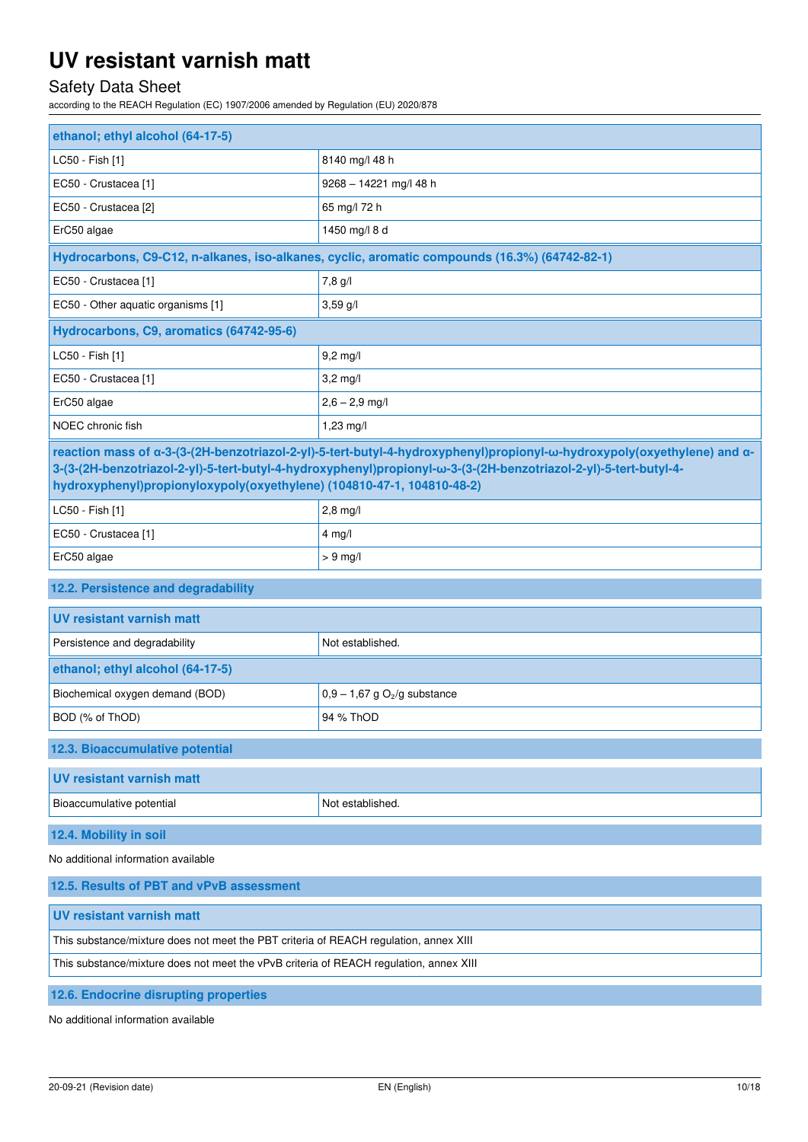# Safety Data Sheet

according to the REACH Regulation (EC) 1907/2006 amended by Regulation (EU) 2020/878

| ethanol; ethyl alcohol (64-17-5)                                                                                                                                                                                                                                                                                      |                                                                                               |  |
|-----------------------------------------------------------------------------------------------------------------------------------------------------------------------------------------------------------------------------------------------------------------------------------------------------------------------|-----------------------------------------------------------------------------------------------|--|
| LC50 - Fish [1]                                                                                                                                                                                                                                                                                                       | 8140 mg/l 48 h                                                                                |  |
| EC50 - Crustacea [1]                                                                                                                                                                                                                                                                                                  | 9268 - 14221 mg/l 48 h                                                                        |  |
| EC50 - Crustacea [2]                                                                                                                                                                                                                                                                                                  | 65 mg/l 72 h                                                                                  |  |
| ErC50 algae                                                                                                                                                                                                                                                                                                           | 1450 mg/l 8 d                                                                                 |  |
|                                                                                                                                                                                                                                                                                                                       | Hydrocarbons, C9-C12, n-alkanes, iso-alkanes, cyclic, aromatic compounds (16.3%) (64742-82-1) |  |
| EC50 - Crustacea [1]                                                                                                                                                                                                                                                                                                  | 7,8 g/l                                                                                       |  |
| EC50 - Other aquatic organisms [1]                                                                                                                                                                                                                                                                                    | $3,59$ g/l                                                                                    |  |
| Hydrocarbons, C9, aromatics (64742-95-6)                                                                                                                                                                                                                                                                              |                                                                                               |  |
| LC50 - Fish [1]                                                                                                                                                                                                                                                                                                       | $9,2$ mg/l                                                                                    |  |
| EC50 - Crustacea [1]                                                                                                                                                                                                                                                                                                  | $3,2$ mg/l                                                                                    |  |
| ErC50 algae                                                                                                                                                                                                                                                                                                           | $2,6 - 2,9$ mg/l                                                                              |  |
| NOEC chronic fish                                                                                                                                                                                                                                                                                                     | 1,23 mg/l                                                                                     |  |
| reaction mass of α-3-(3-(2H-benzotriazol-2-yl)-5-tert-butyl-4-hydroxyphenyl)propionyl-ω-hydroxypoly(oxyethylene) and α-<br>3-(3-(2H-benzotriazol-2-yl)-5-tert-butyl-4-hydroxyphenyl)propionyl-w-3-(3-(2H-benzotriazol-2-yl)-5-tert-butyl-4-<br>hydroxyphenyl)propionyloxypoly(oxyethylene) (104810-47-1, 104810-48-2) |                                                                                               |  |
| LC50 - Fish [1]                                                                                                                                                                                                                                                                                                       | $2,8$ mg/l                                                                                    |  |
| EC50 - Crustacea [1]                                                                                                                                                                                                                                                                                                  | $4$ mg/l                                                                                      |  |
| ErC50 algae                                                                                                                                                                                                                                                                                                           | $> 9$ mg/l                                                                                    |  |
| 12.2. Persistence and degradability                                                                                                                                                                                                                                                                                   |                                                                                               |  |
|                                                                                                                                                                                                                                                                                                                       |                                                                                               |  |
| <b>UV resistant varnish matt</b>                                                                                                                                                                                                                                                                                      |                                                                                               |  |
| Persistence and degradability                                                                                                                                                                                                                                                                                         | Not established.                                                                              |  |
| ethanol; ethyl alcohol (64-17-5)                                                                                                                                                                                                                                                                                      |                                                                                               |  |
| Biochemical oxygen demand (BOD)                                                                                                                                                                                                                                                                                       | $0,9-1,67$ g O <sub>2</sub> /g substance                                                      |  |
| BOD (% of ThOD)                                                                                                                                                                                                                                                                                                       | 94 % ThOD                                                                                     |  |
| 12.3. Bioaccumulative potential                                                                                                                                                                                                                                                                                       |                                                                                               |  |
| <b>UV resistant varnish matt</b>                                                                                                                                                                                                                                                                                      |                                                                                               |  |
| Bioaccumulative potential                                                                                                                                                                                                                                                                                             | Not established.                                                                              |  |
| 12.4. Mobility in soil                                                                                                                                                                                                                                                                                                |                                                                                               |  |
| No additional information available                                                                                                                                                                                                                                                                                   |                                                                                               |  |
| 12.5. Results of PBT and vPvB assessment                                                                                                                                                                                                                                                                              |                                                                                               |  |
| <b>UV resistant varnish matt</b>                                                                                                                                                                                                                                                                                      |                                                                                               |  |
| This substance/mixture does not meet the PBT criteria of REACH regulation, annex XIII                                                                                                                                                                                                                                 |                                                                                               |  |
| This substance/mixture does not meet the vPvB criteria of REACH regulation, annex XIII                                                                                                                                                                                                                                |                                                                                               |  |

No additional information available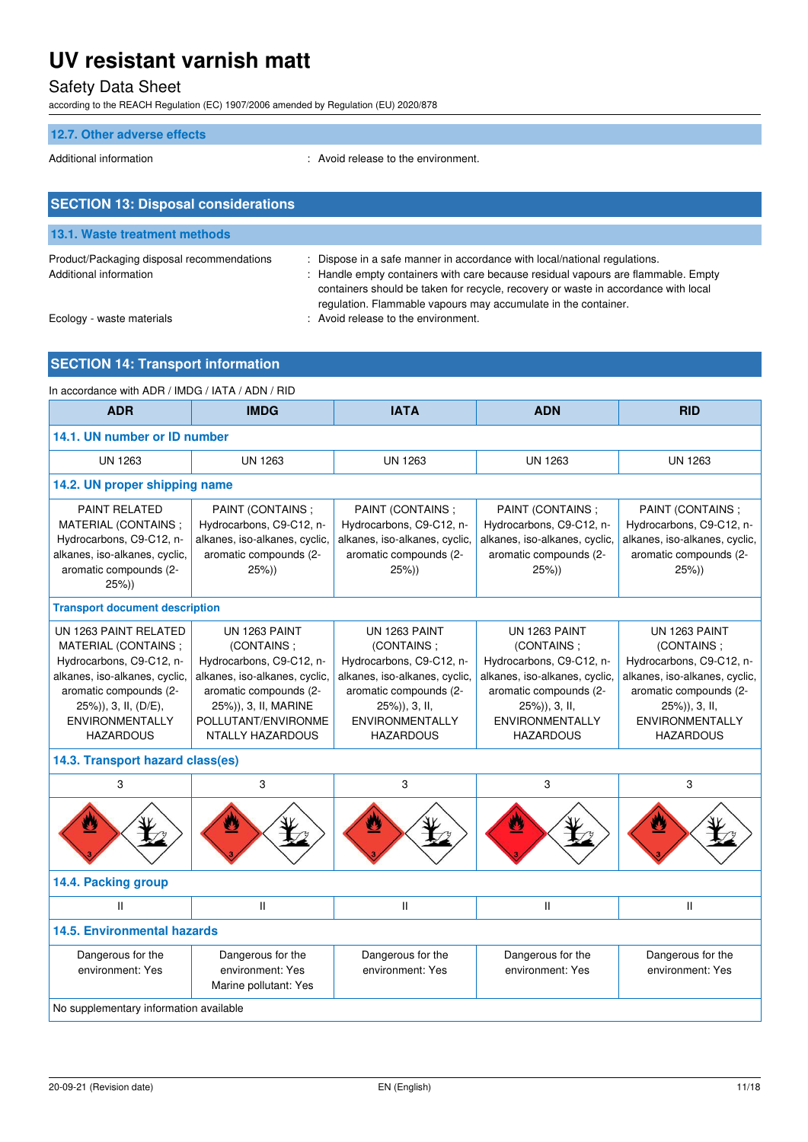# Safety Data Sheet

according to the REACH Regulation (EC) 1907/2006 amended by Regulation (EU) 2020/878

### **12.7. Other adverse effects**

Additional information entity and the environment.

| <b>SECTION 13: Disposal considerations</b>                           |                                                                                                                                                                                                                                                                                                                    |
|----------------------------------------------------------------------|--------------------------------------------------------------------------------------------------------------------------------------------------------------------------------------------------------------------------------------------------------------------------------------------------------------------|
| 13.1. Waste treatment methods                                        |                                                                                                                                                                                                                                                                                                                    |
| Product/Packaging disposal recommendations<br>Additional information | Dispose in a safe manner in accordance with local/national regulations.<br>Handle empty containers with care because residual vapours are flammable. Empty<br>containers should be taken for recycle, recovery or waste in accordance with local<br>regulation. Flammable vapours may accumulate in the container. |
| Ecology - waste materials                                            | : Avoid release to the environment.                                                                                                                                                                                                                                                                                |

# **SECTION 14: Transport information**

| In accordance with ADR / IMDG / IATA / ADN / RID                                                                                                                                                          |                                                                                                                                                                                       |                                                                                                                                                                                   |                                                                                                                                                                                   |                                                                                                                                                                                   |
|-----------------------------------------------------------------------------------------------------------------------------------------------------------------------------------------------------------|---------------------------------------------------------------------------------------------------------------------------------------------------------------------------------------|-----------------------------------------------------------------------------------------------------------------------------------------------------------------------------------|-----------------------------------------------------------------------------------------------------------------------------------------------------------------------------------|-----------------------------------------------------------------------------------------------------------------------------------------------------------------------------------|
| <b>ADR</b>                                                                                                                                                                                                | <b>IMDG</b>                                                                                                                                                                           | <b>IATA</b>                                                                                                                                                                       | <b>ADN</b>                                                                                                                                                                        | <b>RID</b>                                                                                                                                                                        |
| 14.1. UN number or ID number                                                                                                                                                                              |                                                                                                                                                                                       |                                                                                                                                                                                   |                                                                                                                                                                                   |                                                                                                                                                                                   |
| <b>UN 1263</b>                                                                                                                                                                                            | <b>UN 1263</b>                                                                                                                                                                        | <b>UN 1263</b>                                                                                                                                                                    | <b>UN 1263</b>                                                                                                                                                                    | <b>UN 1263</b>                                                                                                                                                                    |
| 14.2. UN proper shipping name                                                                                                                                                                             |                                                                                                                                                                                       |                                                                                                                                                                                   |                                                                                                                                                                                   |                                                                                                                                                                                   |
| <b>PAINT RELATED</b><br>MATERIAL (CONTAINS;<br>Hydrocarbons, C9-C12, n-<br>alkanes, iso-alkanes, cyclic,<br>aromatic compounds (2-<br>25%)                                                                | PAINT (CONTAINS ;<br>Hydrocarbons, C9-C12, n-<br>alkanes, iso-alkanes, cyclic,<br>aromatic compounds (2-<br>25%)                                                                      | PAINT (CONTAINS ;<br>Hydrocarbons, C9-C12, n-<br>alkanes, iso-alkanes, cyclic,<br>aromatic compounds (2-<br>25%)                                                                  | PAINT (CONTAINS ;<br>Hydrocarbons, C9-C12, n-<br>alkanes, iso-alkanes, cyclic,<br>aromatic compounds (2-<br>25%)                                                                  | PAINT (CONTAINS ;<br>Hydrocarbons, C9-C12, n-<br>alkanes, iso-alkanes, cyclic,<br>aromatic compounds (2-<br>$25\%)$                                                               |
| <b>Transport document description</b>                                                                                                                                                                     |                                                                                                                                                                                       |                                                                                                                                                                                   |                                                                                                                                                                                   |                                                                                                                                                                                   |
| UN 1263 PAINT RELATED<br>MATERIAL (CONTAINS:<br>Hydrocarbons, C9-C12, n-<br>alkanes, iso-alkanes, cyclic,<br>aromatic compounds (2-<br>25%)), 3, II, (D/E),<br><b>ENVIRONMENTALLY</b><br><b>HAZARDOUS</b> | UN 1263 PAINT<br>(CONTAINS:<br>Hydrocarbons, C9-C12, n-<br>alkanes, iso-alkanes, cyclic,<br>aromatic compounds (2-<br>25%)), 3, II, MARINE<br>POLLUTANT/ENVIRONME<br>NTALLY HAZARDOUS | UN 1263 PAINT<br>(CONTAINS:<br>Hydrocarbons, C9-C12, n-<br>alkanes, iso-alkanes, cyclic,<br>aromatic compounds (2-<br>25%)), 3, II,<br><b>ENVIRONMENTALLY</b><br><b>HAZARDOUS</b> | UN 1263 PAINT<br>(CONTAINS:<br>Hydrocarbons, C9-C12, n-<br>alkanes, iso-alkanes, cyclic,<br>aromatic compounds (2-<br>25%)), 3, II,<br><b>ENVIRONMENTALLY</b><br><b>HAZARDOUS</b> | UN 1263 PAINT<br>(CONTAINS:<br>Hydrocarbons, C9-C12, n-<br>alkanes, iso-alkanes, cyclic,<br>aromatic compounds (2-<br>25%)), 3, II,<br><b>ENVIRONMENTALLY</b><br><b>HAZARDOUS</b> |
| 14.3. Transport hazard class(es)                                                                                                                                                                          |                                                                                                                                                                                       |                                                                                                                                                                                   |                                                                                                                                                                                   |                                                                                                                                                                                   |
| 3                                                                                                                                                                                                         | 3                                                                                                                                                                                     | 3                                                                                                                                                                                 | 3                                                                                                                                                                                 | 3                                                                                                                                                                                 |
|                                                                                                                                                                                                           |                                                                                                                                                                                       |                                                                                                                                                                                   |                                                                                                                                                                                   |                                                                                                                                                                                   |
| 14.4. Packing group                                                                                                                                                                                       |                                                                                                                                                                                       |                                                                                                                                                                                   |                                                                                                                                                                                   |                                                                                                                                                                                   |
| $\mathbf{II}$                                                                                                                                                                                             | $\mathbf{II}$                                                                                                                                                                         | $\mathsf{II}$                                                                                                                                                                     | $\mathsf{I}$                                                                                                                                                                      | Ш                                                                                                                                                                                 |
| <b>14.5. Environmental hazards</b>                                                                                                                                                                        |                                                                                                                                                                                       |                                                                                                                                                                                   |                                                                                                                                                                                   |                                                                                                                                                                                   |
| Dangerous for the<br>environment: Yes                                                                                                                                                                     | Dangerous for the<br>environment: Yes<br>Marine pollutant: Yes                                                                                                                        | Dangerous for the<br>environment: Yes                                                                                                                                             | Dangerous for the<br>environment: Yes                                                                                                                                             | Dangerous for the<br>environment: Yes                                                                                                                                             |
| No supplementary information available                                                                                                                                                                    |                                                                                                                                                                                       |                                                                                                                                                                                   |                                                                                                                                                                                   |                                                                                                                                                                                   |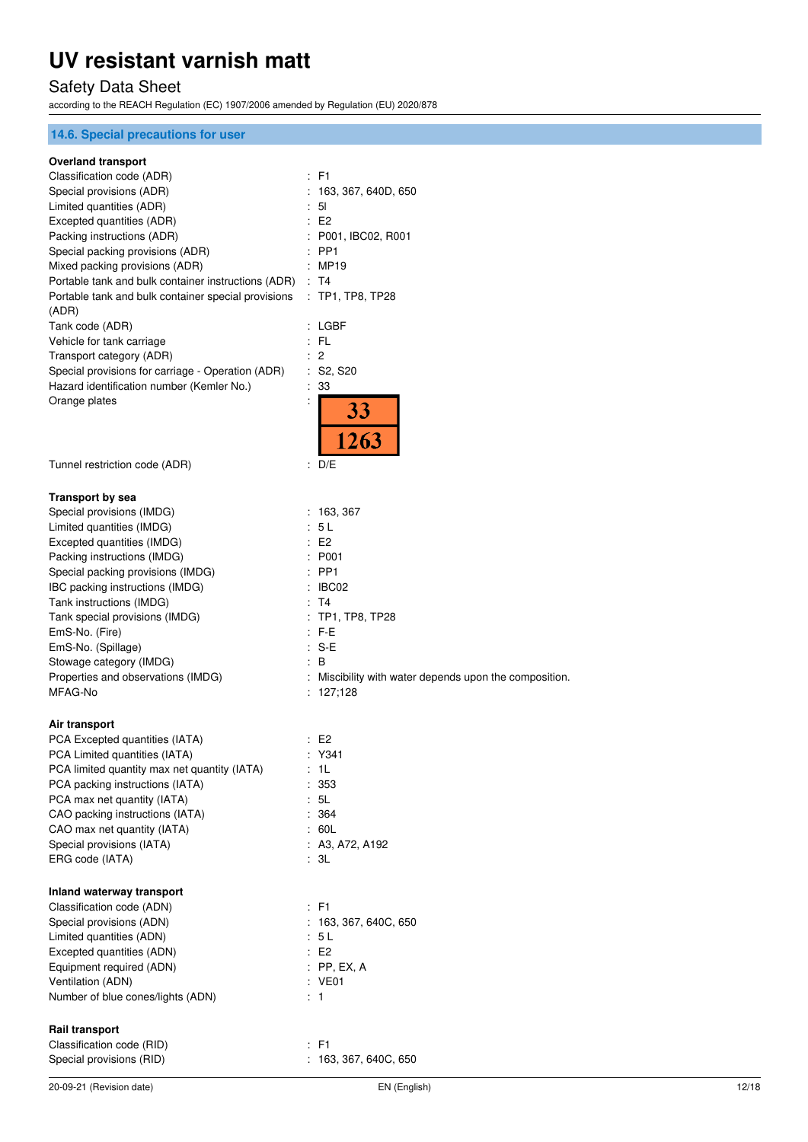# Safety Data Sheet

according to the REACH Regulation (EC) 1907/2006 amended by Regulation (EU) 2020/878

## **14.6. Special precautions for user**

#### **Overland transport**

| Ovenana transport                                        |                                                        |
|----------------------------------------------------------|--------------------------------------------------------|
| Classification code (ADR)                                | : F1                                                   |
| Special provisions (ADR)                                 | 163, 367, 640D, 650                                    |
| Limited quantities (ADR)                                 | 51                                                     |
| Excepted quantities (ADR)                                | E <sub>2</sub>                                         |
| Packing instructions (ADR)                               | P001, IBC02, R001                                      |
| Special packing provisions (ADR)                         | PP <sub>1</sub>                                        |
| Mixed packing provisions (ADR)                           | <b>MP19</b>                                            |
| Portable tank and bulk container instructions (ADR) : T4 |                                                        |
| Portable tank and bulk container special provisions      | $:$ TP1, TP8, TP28                                     |
|                                                          |                                                        |
| (ADR)                                                    |                                                        |
| Tank code (ADR)                                          | : LGBF                                                 |
| Vehicle for tank carriage                                | FL                                                     |
| Transport category (ADR)                                 | 2                                                      |
| Special provisions for carriage - Operation (ADR)        | ÷.<br>S <sub>2</sub> , S <sub>20</sub>                 |
| Hazard identification number (Kemler No.)                | 33                                                     |
| Orange plates                                            |                                                        |
|                                                          | <b>33</b>                                              |
|                                                          | 1263                                                   |
|                                                          |                                                        |
| Tunnel restriction code (ADR)                            | ÷<br>D/E                                               |
|                                                          |                                                        |
|                                                          |                                                        |
| <b>Transport by sea</b>                                  |                                                        |
| Special provisions (IMDG)                                | : 163, 367                                             |
| Limited quantities (IMDG)                                | 5L<br>÷                                                |
| Excepted quantities (IMDG)                               | E <sub>2</sub>                                         |
| Packing instructions (IMDG)                              | P001                                                   |
| Special packing provisions (IMDG)                        | PP <sub>1</sub>                                        |
| IBC packing instructions (IMDG)                          | IBC02                                                  |
| Tank instructions (IMDG)                                 | : T4                                                   |
| Tank special provisions (IMDG)                           | $:$ TP1, TP8, TP28                                     |
| EmS-No. (Fire)                                           | : F-E                                                  |
| EmS-No. (Spillage)                                       | S-E<br>÷                                               |
| Stowage category (IMDG)                                  | B                                                      |
| Properties and observations (IMDG)                       | : Miscibility with water depends upon the composition. |
| MFAG-No                                                  | : 127,128                                              |
|                                                          |                                                        |
| Air transport                                            |                                                        |
| PCA Excepted quantities (IATA)                           | : E2                                                   |
| PCA Limited quantities (IATA)                            | : Y341                                                 |
| PCA limited quantity max net quantity (IATA)             | 1L                                                     |
| PCA packing instructions (IATA)                          | 353                                                    |
| PCA max net quantity (IATA)                              | 5L                                                     |
| CAO packing instructions (IATA)                          | : 364                                                  |
|                                                          | : 60L                                                  |
| CAO max net quantity (IATA)                              |                                                        |
| Special provisions (IATA)                                | : A3, A72, A192                                        |
| ERG code (IATA)                                          | : 3L                                                   |
|                                                          |                                                        |
| Inland waterway transport                                |                                                        |
| Classification code (ADN)                                | : F1                                                   |
| Special provisions (ADN)                                 | 163, 367, 640C, 650                                    |
| Limited quantities (ADN)                                 | : 5 L                                                  |
| Excepted quantities (ADN)                                | E2                                                     |
| Equipment required (ADN)                                 | $:$ PP, EX, A                                          |
| Ventilation (ADN)                                        | : VE01                                                 |
| Number of blue cones/lights (ADN)                        | : 1                                                    |
|                                                          |                                                        |
| <b>Rail transport</b>                                    |                                                        |
| Classification code (RID)                                | $\therefore$ F1                                        |
|                                                          |                                                        |

Special provisions (RID)  $\qquad \qquad$  : 163, 367, 640C, 650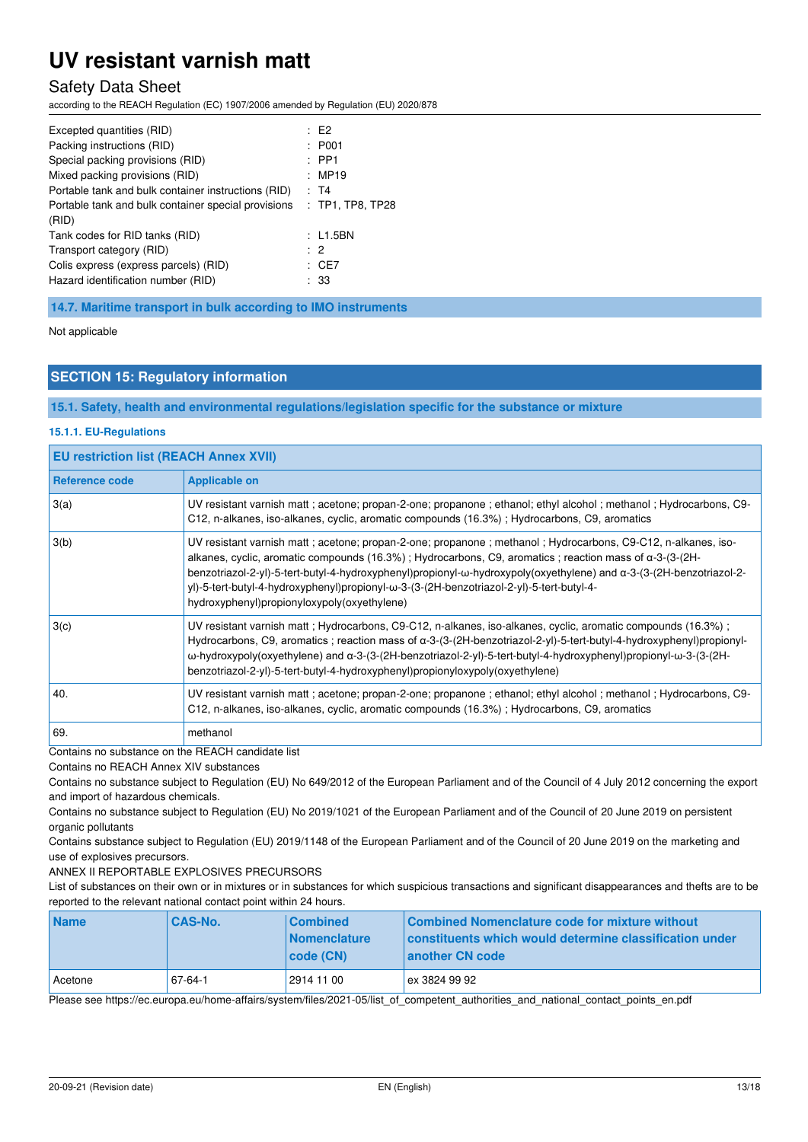## Safety Data Sheet

according to the REACH Regulation (EC) 1907/2006 amended by Regulation (EU) 2020/878

| Excepted quantities (RID)<br>Packing instructions (RID)<br>Special packing provisions (RID)<br>Mixed packing provisions (RID)<br>Portable tank and bulk container instructions (RID)<br>Portable tank and bulk container special provisions | $E^2$<br>: P <sub>001</sub><br>$:$ PP1<br>: MP19<br>: T4<br>$:$ TP1, TP8, TP28 |
|---------------------------------------------------------------------------------------------------------------------------------------------------------------------------------------------------------------------------------------------|--------------------------------------------------------------------------------|
| (RID)<br>Tank codes for RID tanks (RID)<br>Transport category (RID)<br>Colis express (express parcels) (RID)<br>Hazard identification number (RID)                                                                                          | : L1.5BN<br>$\cdot$ 2<br>: CE7<br>: 33                                         |

**14.7. Maritime transport in bulk according to IMO instruments** 

Not applicable

### **SECTION 15: Regulatory information**

**15.1. Safety, health and environmental regulations/legislation specific for the substance or mixture** 

#### **15.1.1. EU-Regulations**

| <b>EU restriction list (REACH Annex XVII)</b> |                                                                                                                                                                                                                                                                                                                                                                                                                                                                                             |  |
|-----------------------------------------------|---------------------------------------------------------------------------------------------------------------------------------------------------------------------------------------------------------------------------------------------------------------------------------------------------------------------------------------------------------------------------------------------------------------------------------------------------------------------------------------------|--|
| Reference code                                | <b>Applicable on</b>                                                                                                                                                                                                                                                                                                                                                                                                                                                                        |  |
| 3(a)                                          | UV resistant varnish matt ; acetone; propan-2-one; propanone ; ethanol; ethyl alcohol ; methanol ; Hydrocarbons, C9-<br>C12, n-alkanes, iso-alkanes, cyclic, aromatic compounds (16.3%); Hydrocarbons, C9, aromatics                                                                                                                                                                                                                                                                        |  |
| 3(b)                                          | UV resistant varnish matt ; acetone; propan-2-one; propanone ; methanol ; Hydrocarbons, C9-C12, n-alkanes, iso-<br>alkanes, cyclic, aromatic compounds (16.3%); Hydrocarbons, C9, aromatics; reaction mass of a-3-(3-(2H-<br>benzotriazol-2-yl)-5-tert-butyl-4-hydroxyphenyl)propionyl-w-hydroxypoly(oxyethylene) and a-3-(3-(2H-benzotriazol-2-<br>yl)-5-tert-butyl-4-hydroxyphenyl)propionyl-ω-3-(3-(2H-benzotriazol-2-yl)-5-tert-butyl-4-<br>hydroxyphenyl)propionyloxypoly(oxyethylene) |  |
| 3(c)                                          | UV resistant varnish matt; Hydrocarbons, C9-C12, n-alkanes, iso-alkanes, cyclic, aromatic compounds (16.3%);<br>Hydrocarbons, C9, aromatics; reaction mass of a-3-(3-(2H-benzotriazol-2-yl)-5-tert-butyl-4-hydroxyphenyl)propionyl-<br>ω-hydroxypoly(oxyethylene) and α-3-(3-(2H-benzotriazol-2-yl)-5-tert-butyl-4-hydroxyphenyl)propionyl-ω-3-(3-(2H-<br>benzotriazol-2-yl)-5-tert-butyl-4-hydroxyphenyl)propionyloxypoly(oxyethylene)                                                     |  |
| 40.                                           | UV resistant varnish matt ; acetone; propan-2-one; propanone ; ethanol; ethyl alcohol ; methanol ; Hydrocarbons, C9-<br>C12, n-alkanes, iso-alkanes, cyclic, aromatic compounds (16.3%); Hydrocarbons, C9, aromatics                                                                                                                                                                                                                                                                        |  |
| 69.                                           | methanol                                                                                                                                                                                                                                                                                                                                                                                                                                                                                    |  |

Contains no substance on the REACH candidate list

Contains no REACH Annex XIV substances

Contains no substance subject to Regulation (EU) No 649/2012 of the European Parliament and of the Council of 4 July 2012 concerning the export and import of hazardous chemicals.

Contains no substance subject to Regulation (EU) No 2019/1021 of the European Parliament and of the Council of 20 June 2019 on persistent organic pollutants

Contains substance subject to Regulation (EU) 2019/1148 of the European Parliament and of the Council of 20 June 2019 on the marketing and use of explosives precursors.

ANNEX II REPORTABLE EXPLOSIVES PRECURSORS

List of substances on their own or in mixtures or in substances for which suspicious transactions and significant disappearances and thefts are to be reported to the relevant national contact point within 24 hours.

| <b>Name</b> | <b>CAS-No.</b> | <b>Combined</b><br><b>Nomenclature</b><br> code(CN) | Combined Nomenclature code for mixture without<br>constituents which would determine classification under<br>another CN code |
|-------------|----------------|-----------------------------------------------------|------------------------------------------------------------------------------------------------------------------------------|
| Acetone     | 67-64-1        | 2914 11 00                                          | ex 3824 99 92                                                                                                                |

Please see https://ec.europa.eu/home-affairs/system/files/2021-05/list\_of\_competent\_authorities\_and\_national\_contact\_points\_en.pdf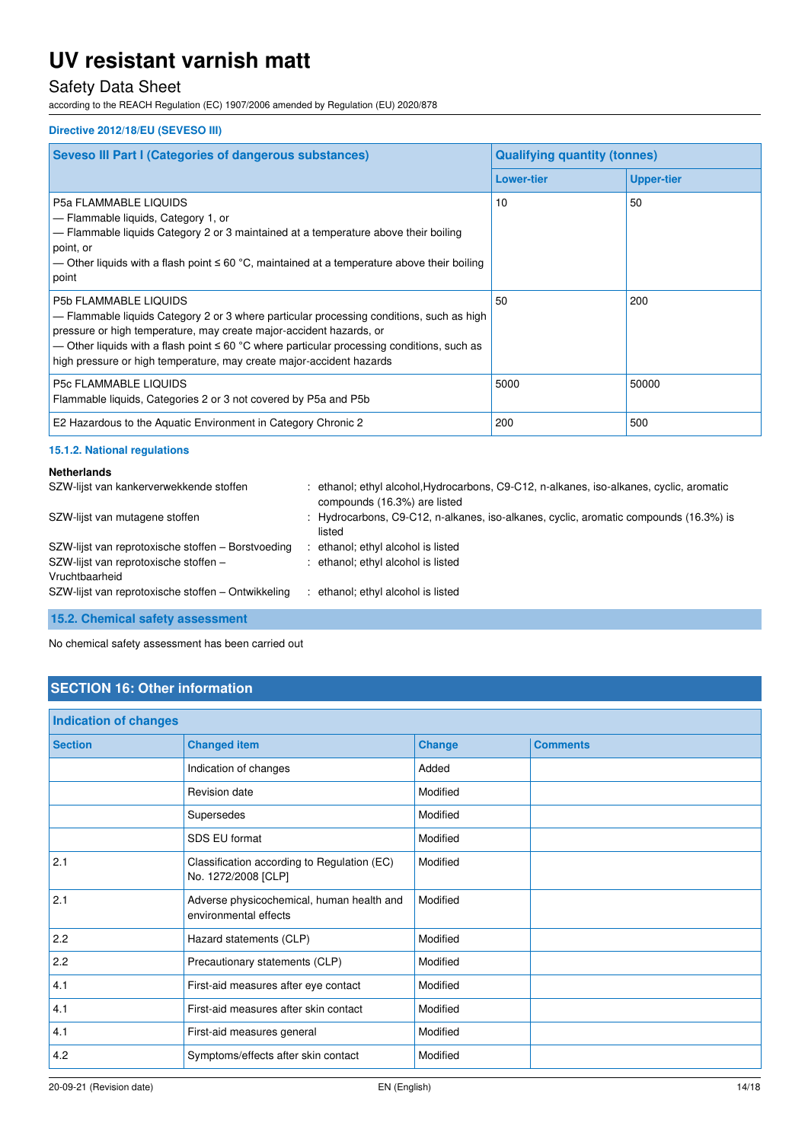# Safety Data Sheet

according to the REACH Regulation (EC) 1907/2006 amended by Regulation (EU) 2020/878

#### **Directive 2012/18/EU (SEVESO III)**

| <b>Seveso III Part I (Categories of dangerous substances)</b>                                                                                                                                                                                                                                                                                                              | <b>Qualifying quantity (tonnes)</b> |                   |
|----------------------------------------------------------------------------------------------------------------------------------------------------------------------------------------------------------------------------------------------------------------------------------------------------------------------------------------------------------------------------|-------------------------------------|-------------------|
|                                                                                                                                                                                                                                                                                                                                                                            | <b>Lower-tier</b>                   | <b>Upper-tier</b> |
| <b>P5a FLAMMABLE LIQUIDS</b><br>- Flammable liquids, Category 1, or<br>- Flammable liquids Category 2 or 3 maintained at a temperature above their boiling<br>point, or<br>— Other liquids with a flash point $\leq 60$ °C, maintained at a temperature above their boiling<br>point                                                                                       | 10                                  | 50                |
| <b>P5b FLAMMABLE LIQUIDS</b><br>- Flammable liquids Category 2 or 3 where particular processing conditions, such as high<br>pressure or high temperature, may create major-accident hazards, or<br>— Other liquids with a flash point $\leq 60$ °C where particular processing conditions, such as<br>high pressure or high temperature, may create major-accident hazards | 50                                  | 200               |
| <b>P5c FLAMMABLE LIQUIDS</b><br>Flammable liquids, Categories 2 or 3 not covered by P5a and P5b                                                                                                                                                                                                                                                                            | 5000                                | 50000             |
| E2 Hazardous to the Aquatic Environment in Category Chronic 2                                                                                                                                                                                                                                                                                                              | 200                                 | 500               |

#### **15.1.2. National regulations**

| <b>Netherlands</b>                                      |                                                                                                                          |
|---------------------------------------------------------|--------------------------------------------------------------------------------------------------------------------------|
| SZW-lijst van kankerverwekkende stoffen                 | : ethanol; ethyl alcohol, Hydrocarbons, C9-C12, n-alkanes, iso-alkanes, cyclic, aromatic<br>compounds (16.3%) are listed |
| SZW-lijst van mutagene stoffen                          | : Hydrocarbons, C9-C12, n-alkanes, iso-alkanes, cyclic, aromatic compounds (16.3%) is<br>listed                          |
| SZW-lijst van reprotoxische stoffen - Borstvoeding      | : ethanol; ethyl alcohol is listed                                                                                       |
| SZW-lijst van reprotoxische stoffen -<br>Vruchtbaarheid | : ethanol; ethyl alcohol is listed                                                                                       |
| SZW-lijst van reprotoxische stoffen – Ontwikkeling      | : ethanol; ethyl alcohol is listed                                                                                       |

**15.2. Chemical safety assessment** 

No chemical safety assessment has been carried out

# **SECTION 16: Other information**

| Indication of changes |                                                                    |               |                 |
|-----------------------|--------------------------------------------------------------------|---------------|-----------------|
| <b>Section</b>        | <b>Changed item</b>                                                | <b>Change</b> | <b>Comments</b> |
|                       | Indication of changes                                              | Added         |                 |
|                       | Revision date                                                      | Modified      |                 |
|                       | Supersedes                                                         | Modified      |                 |
|                       | SDS EU format                                                      | Modified      |                 |
| 2.1                   | Classification according to Regulation (EC)<br>No. 1272/2008 [CLP] | Modified      |                 |
| 2.1                   | Adverse physicochemical, human health and<br>environmental effects | Modified      |                 |
| 2.2                   | Hazard statements (CLP)                                            | Modified      |                 |
| 2.2                   | Precautionary statements (CLP)                                     | Modified      |                 |
| 4.1                   | First-aid measures after eye contact                               | Modified      |                 |
| 4.1                   | First-aid measures after skin contact                              | Modified      |                 |
| 4.1                   | First-aid measures general                                         | Modified      |                 |
| 4.2                   | Symptoms/effects after skin contact                                | Modified      |                 |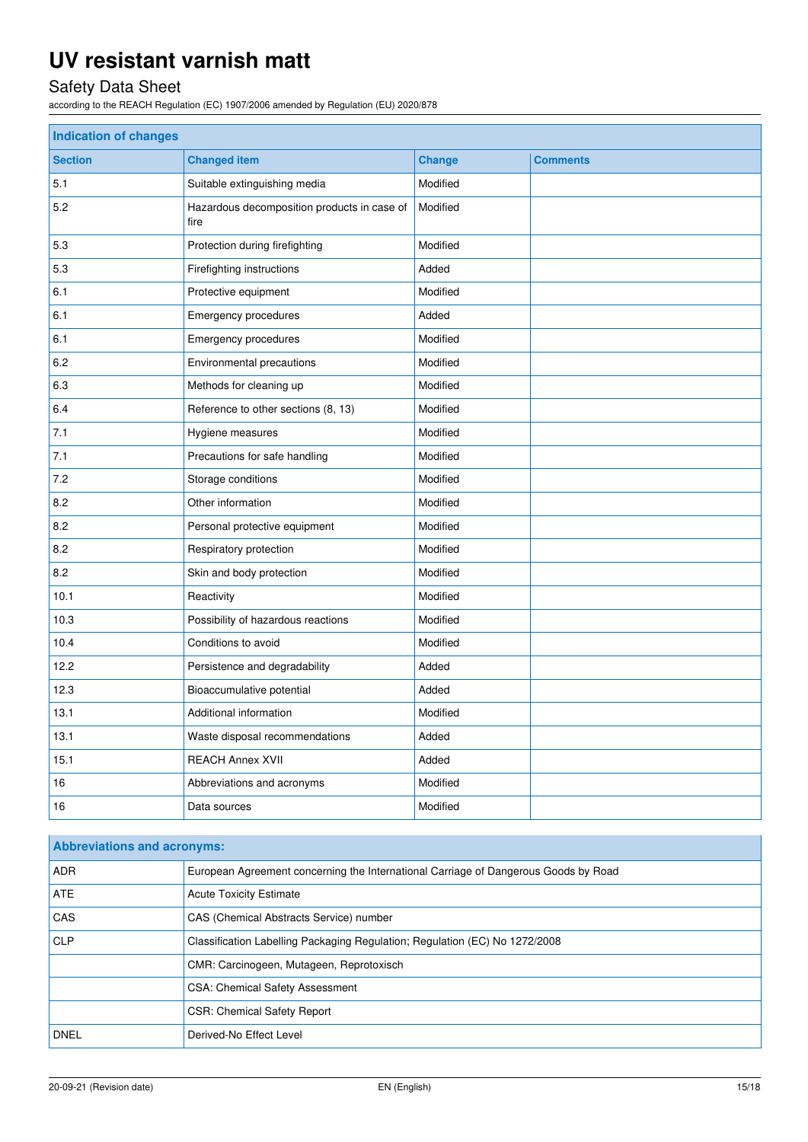# Safety Data Sheet

according to the REACH Regulation (EC) 1907/2006 amended by Regulation (EU) 2020/878

| <b>Indication of changes</b> |                                                     |               |                 |  |
|------------------------------|-----------------------------------------------------|---------------|-----------------|--|
| <b>Section</b>               | <b>Changed item</b>                                 | <b>Change</b> | <b>Comments</b> |  |
| 5.1                          | Suitable extinguishing media                        | Modified      |                 |  |
| 5.2                          | Hazardous decomposition products in case of<br>fire | Modified      |                 |  |
| 5.3                          | Protection during firefighting                      | Modified      |                 |  |
| 5.3                          | Firefighting instructions                           | Added         |                 |  |
| 6.1                          | Protective equipment                                | Modified      |                 |  |
| 6.1                          | Emergency procedures                                | Added         |                 |  |
| 6.1                          | Emergency procedures                                | Modified      |                 |  |
| 6.2                          | Environmental precautions                           | Modified      |                 |  |
| 6.3                          | Modified<br>Methods for cleaning up                 |               |                 |  |
| 6.4                          | Reference to other sections (8, 13)                 | Modified      |                 |  |
| 7.1                          | Hygiene measures                                    | Modified      |                 |  |
| 7.1                          | Precautions for safe handling                       | Modified      |                 |  |
| 7.2                          | Storage conditions                                  | Modified      |                 |  |
| 8.2                          | Other information                                   | Modified      |                 |  |
| 8.2                          | Personal protective equipment                       | Modified      |                 |  |
| 8.2                          | Respiratory protection                              | Modified      |                 |  |
| 8.2                          | Skin and body protection                            | Modified      |                 |  |
| 10.1                         | Reactivity                                          | Modified      |                 |  |
| 10.3                         | Possibility of hazardous reactions                  | Modified      |                 |  |
| 10.4                         | Conditions to avoid                                 | Modified      |                 |  |
| 12.2                         | Persistence and degradability                       | Added         |                 |  |
| 12.3                         | Bioaccumulative potential                           | Added         |                 |  |
| 13.1                         | Additional information                              | Modified      |                 |  |
| 13.1                         | Waste disposal recommendations                      | Added         |                 |  |
| 15.1                         | <b>REACH Annex XVII</b>                             | Added         |                 |  |
| 16                           | Abbreviations and acronyms                          | Modified      |                 |  |
| 16                           | Data sources                                        | Modified      |                 |  |

| <b>Abbreviations and acronyms:</b> |                                                                                     |  |  |
|------------------------------------|-------------------------------------------------------------------------------------|--|--|
| <b>ADR</b>                         | European Agreement concerning the International Carriage of Dangerous Goods by Road |  |  |
| <b>ATE</b>                         | <b>Acute Toxicity Estimate</b>                                                      |  |  |
| <b>CAS</b>                         | CAS (Chemical Abstracts Service) number                                             |  |  |
| <b>CLP</b>                         | Classification Labelling Packaging Regulation; Regulation (EC) No 1272/2008         |  |  |
|                                    | CMR: Carcinogeen, Mutageen, Reprotoxisch                                            |  |  |
|                                    | <b>CSA: Chemical Safety Assessment</b>                                              |  |  |
|                                    | <b>CSR: Chemical Safety Report</b>                                                  |  |  |
| <b>DNEL</b>                        | Derived-No Effect Level                                                             |  |  |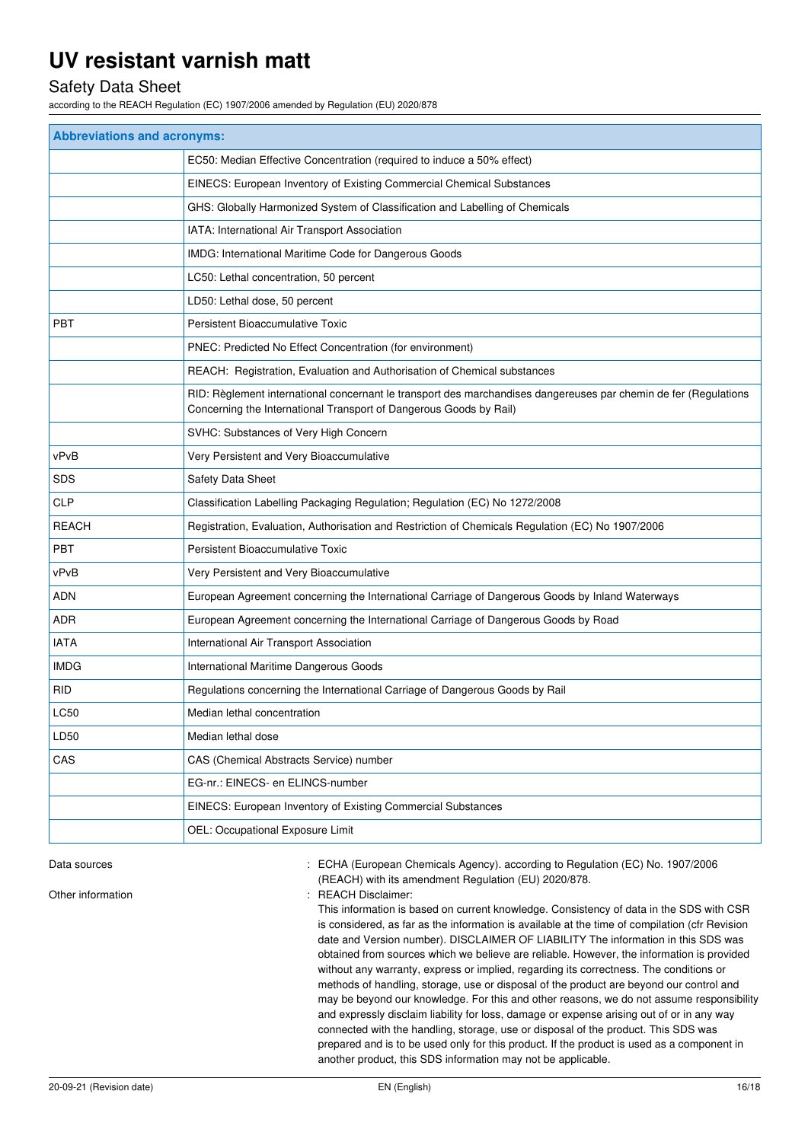## Safety Data Sheet

according to the REACH Regulation (EC) 1907/2006 amended by Regulation (EU) 2020/878

| <b>Abbreviations and acronyms:</b> |                                                                                                                                                                                        |  |  |
|------------------------------------|----------------------------------------------------------------------------------------------------------------------------------------------------------------------------------------|--|--|
|                                    | EC50: Median Effective Concentration (required to induce a 50% effect)                                                                                                                 |  |  |
|                                    | EINECS: European Inventory of Existing Commercial Chemical Substances                                                                                                                  |  |  |
|                                    | GHS: Globally Harmonized System of Classification and Labelling of Chemicals                                                                                                           |  |  |
|                                    | IATA: International Air Transport Association                                                                                                                                          |  |  |
|                                    | IMDG: International Maritime Code for Dangerous Goods                                                                                                                                  |  |  |
|                                    | LC50: Lethal concentration, 50 percent                                                                                                                                                 |  |  |
|                                    | LD50: Lethal dose, 50 percent                                                                                                                                                          |  |  |
| <b>PBT</b>                         | Persistent Bioaccumulative Toxic                                                                                                                                                       |  |  |
|                                    | PNEC: Predicted No Effect Concentration (for environment)                                                                                                                              |  |  |
|                                    | REACH: Registration, Evaluation and Authorisation of Chemical substances                                                                                                               |  |  |
|                                    | RID: Règlement international concernant le transport des marchandises dangereuses par chemin de fer (Regulations<br>Concerning the International Transport of Dangerous Goods by Rail) |  |  |
|                                    | SVHC: Substances of Very High Concern                                                                                                                                                  |  |  |
| vPvB                               | Very Persistent and Very Bioaccumulative                                                                                                                                               |  |  |
| <b>SDS</b>                         | Safety Data Sheet                                                                                                                                                                      |  |  |
| <b>CLP</b>                         | Classification Labelling Packaging Regulation; Regulation (EC) No 1272/2008                                                                                                            |  |  |
| <b>REACH</b>                       | Registration, Evaluation, Authorisation and Restriction of Chemicals Regulation (EC) No 1907/2006                                                                                      |  |  |
| <b>PBT</b>                         | Persistent Bioaccumulative Toxic                                                                                                                                                       |  |  |
| vPvB                               | Very Persistent and Very Bioaccumulative                                                                                                                                               |  |  |
| ADN                                | European Agreement concerning the International Carriage of Dangerous Goods by Inland Waterways                                                                                        |  |  |
| ADR                                | European Agreement concerning the International Carriage of Dangerous Goods by Road                                                                                                    |  |  |
| <b>IATA</b>                        | International Air Transport Association                                                                                                                                                |  |  |
| <b>IMDG</b>                        | International Maritime Dangerous Goods                                                                                                                                                 |  |  |
| <b>RID</b>                         | Regulations concerning the International Carriage of Dangerous Goods by Rail                                                                                                           |  |  |
| LC50                               | Median lethal concentration                                                                                                                                                            |  |  |
| LD50                               | Median lethal dose                                                                                                                                                                     |  |  |
| CAS                                | CAS (Chemical Abstracts Service) number                                                                                                                                                |  |  |
|                                    | EG-nr.: EINECS- en ELINCS-number                                                                                                                                                       |  |  |
|                                    | EINECS: European Inventory of Existing Commercial Substances                                                                                                                           |  |  |
|                                    | OEL: Occupational Exposure Limit                                                                                                                                                       |  |  |

Data sources **1997/2006** : ECHA (European Chemicals Agency). according to Regulation (EC) No. 1907/2006 (REACH) with its amendment Regulation (EU) 2020/878.

Other information  $\qquad \qquad$ : REACH Disclaimer:

This information is based on current knowledge. Consistency of data in the SDS with CSR is considered, as far as the information is available at the time of compilation (cfr Revision date and Version number). DISCLAIMER OF LIABILITY The information in this SDS was obtained from sources which we believe are reliable. However, the information is provided without any warranty, express or implied, regarding its correctness. The conditions or methods of handling, storage, use or disposal of the product are beyond our control and may be beyond our knowledge. For this and other reasons, we do not assume responsibility and expressly disclaim liability for loss, damage or expense arising out of or in any way connected with the handling, storage, use or disposal of the product. This SDS was prepared and is to be used only for this product. If the product is used as a component in another product, this SDS information may not be applicable.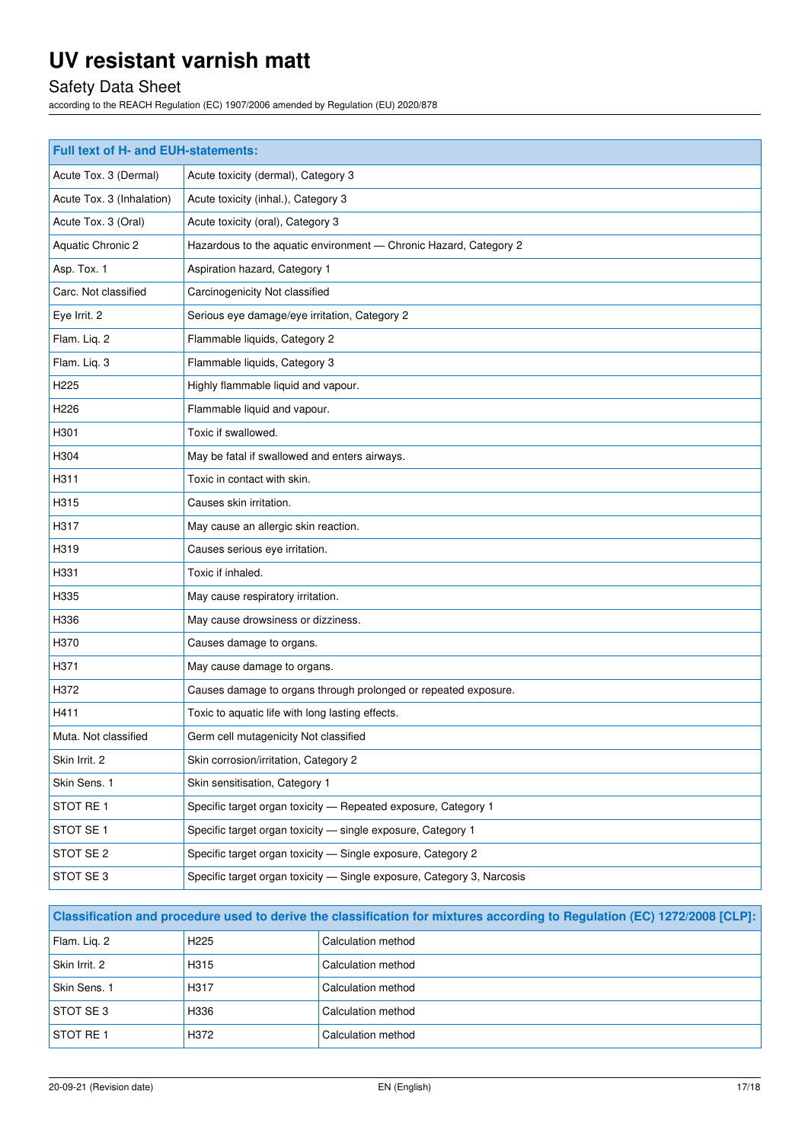# Safety Data Sheet

according to the REACH Regulation (EC) 1907/2006 amended by Regulation (EU) 2020/878

| Full text of H- and EUH-statements: |                                                                        |  |  |
|-------------------------------------|------------------------------------------------------------------------|--|--|
| Acute Tox. 3 (Dermal)               | Acute toxicity (dermal), Category 3                                    |  |  |
| Acute Tox. 3 (Inhalation)           | Acute toxicity (inhal.), Category 3                                    |  |  |
| Acute Tox. 3 (Oral)                 | Acute toxicity (oral), Category 3                                      |  |  |
| Aquatic Chronic 2                   | Hazardous to the aquatic environment - Chronic Hazard, Category 2      |  |  |
| Asp. Tox. 1                         | Aspiration hazard, Category 1                                          |  |  |
| Carc. Not classified                | Carcinogenicity Not classified                                         |  |  |
| Eye Irrit. 2                        | Serious eye damage/eye irritation, Category 2                          |  |  |
| Flam. Liq. 2                        | Flammable liquids, Category 2                                          |  |  |
| Flam. Liq. 3                        | Flammable liquids, Category 3                                          |  |  |
| H225                                | Highly flammable liquid and vapour.                                    |  |  |
| H226                                | Flammable liquid and vapour.                                           |  |  |
| H301                                | Toxic if swallowed.                                                    |  |  |
| H304                                | May be fatal if swallowed and enters airways.                          |  |  |
| H311                                | Toxic in contact with skin.                                            |  |  |
| H315                                | Causes skin irritation.                                                |  |  |
| H317                                | May cause an allergic skin reaction.                                   |  |  |
| H319                                | Causes serious eye irritation.                                         |  |  |
| H331                                | Toxic if inhaled.                                                      |  |  |
| H335                                | May cause respiratory irritation.                                      |  |  |
| H336                                | May cause drowsiness or dizziness.                                     |  |  |
| H370                                | Causes damage to organs.                                               |  |  |
| H371                                | May cause damage to organs.                                            |  |  |
| H372                                | Causes damage to organs through prolonged or repeated exposure.        |  |  |
| H411                                | Toxic to aquatic life with long lasting effects.                       |  |  |
| Muta. Not classified                | Germ cell mutagenicity Not classified                                  |  |  |
| Skin Irrit. 2                       | Skin corrosion/irritation, Category 2                                  |  |  |
| Skin Sens. 1                        | Skin sensitisation, Category 1                                         |  |  |
| STOT RE1                            | Specific target organ toxicity - Repeated exposure, Category 1         |  |  |
| STOT SE 1                           | Specific target organ toxicity - single exposure, Category 1           |  |  |
| STOT SE 2                           | Specific target organ toxicity - Single exposure, Category 2           |  |  |
| STOT SE 3                           | Specific target organ toxicity - Single exposure, Category 3, Narcosis |  |  |

| Classification and procedure used to derive the classification for mixtures according to Regulation (EC) 1272/2008 [CLP]: |                   |                    |  |
|---------------------------------------------------------------------------------------------------------------------------|-------------------|--------------------|--|
| Flam. Lig. 2                                                                                                              | H <sub>225</sub>  | Calculation method |  |
| Skin Irrit. 2                                                                                                             | H <sub>3</sub> 15 | Calculation method |  |
| Skin Sens. 1                                                                                                              | H317              | Calculation method |  |
| <b>STOT SE 3</b>                                                                                                          | H336              | Calculation method |  |
| <b>STOT RE1</b>                                                                                                           | H372              | Calculation method |  |